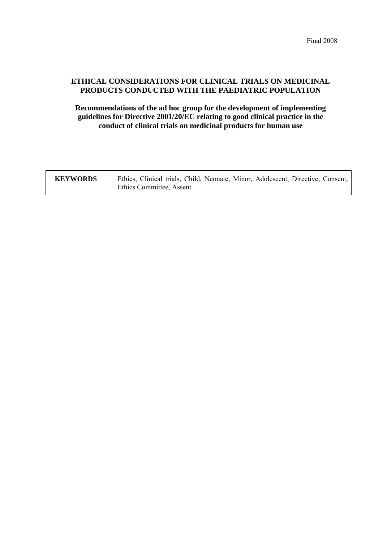## **ETHICAL CONSIDERATIONS FOR CLINICAL TRIALS ON MEDICINAL PRODUCTS CONDUCTED WITH THE PAEDIATRIC POPULATION**

## **Recommendations of the ad hoc group for the development of implementing guidelines for Directive 2001/20/EC relating to good clinical practice in the conduct of clinical trials on medicinal products for human use**

|--|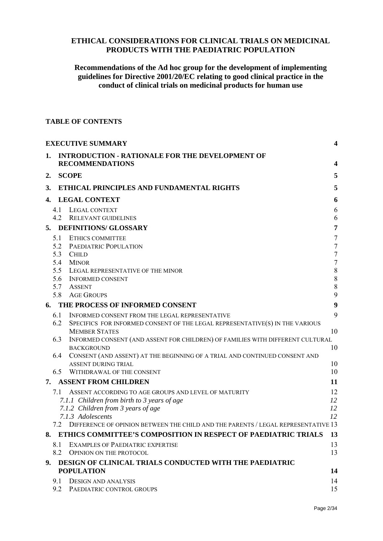## **ETHICAL CONSIDERATIONS FOR CLINICAL TRIALS ON MEDICINAL PRODUCTS WITH THE PAEDIATRIC POPULATION**

## **Recommendations of the Ad hoc group for the development of implementing guidelines for Directive 2001/20/EC relating to good clinical practice in the conduct of clinical trials on medicinal products for human use**

### **TABLE OF CONTENTS**

|    |            | <b>EXECUTIVE SUMMARY</b>                                                                          | 4              |
|----|------------|---------------------------------------------------------------------------------------------------|----------------|
| 1. |            | <b>INTRODUCTION - RATIONALE FOR THE DEVELOPMENT OF</b><br><b>RECOMMENDATIONS</b>                  |                |
| 2. |            | <b>SCOPE</b>                                                                                      | 5              |
| 3. |            | ETHICAL PRINCIPLES AND FUNDAMENTAL RIGHTS                                                         | 5              |
| 4. |            | <b>LEGAL CONTEXT</b>                                                                              | 6              |
|    | 4.1        | <b>LEGAL CONTEXT</b>                                                                              | 6              |
|    | 42         | <b>RELEVANT GUIDELINES</b>                                                                        | 6              |
| 5. |            | <b>DEFINITIONS/ GLOSSARY</b>                                                                      | 7              |
|    | 5.1        | <b>ETHICS COMMITTEE</b>                                                                           | $\overline{7}$ |
|    | 5.2        | PAEDIATRIC POPULATION                                                                             | $\overline{7}$ |
|    | 5.3        | <b>CHILD</b>                                                                                      | $\overline{7}$ |
|    | 5.4<br>5.5 | <b>MINOR</b>                                                                                      | $\overline{7}$ |
|    | 5.6        | LEGAL REPRESENTATIVE OF THE MINOR<br><b>INFORMED CONSENT</b>                                      | 8<br>8         |
|    | 5.7        | <b>ASSENT</b>                                                                                     | 8              |
|    | 5.8        | <b>AGE GROUPS</b>                                                                                 | 9              |
| 6. |            | THE PROCESS OF INFORMED CONSENT                                                                   | 9              |
|    | 6.1        | INFORMED CONSENT FROM THE LEGAL REPRESENTATIVE                                                    | 9              |
|    | 6.2        | SPECIFICS FOR INFORMED CONSENT OF THE LEGAL REPRESENTATIVE(S) IN THE VARIOUS                      |                |
|    |            | <b>MEMBER STATES</b>                                                                              | 10             |
|    | 6.3        | INFORMED CONSENT (AND ASSENT FOR CHILDREN) OF FAMILIES WITH DIFFERENT CULTURAL                    |                |
|    | 6.4        | <b>BACKGROUND</b>                                                                                 | 10             |
|    |            | CONSENT (AND ASSENT) AT THE BEGINNING OF A TRIAL AND CONTINUED CONSENT AND<br>ASSENT DURING TRIAL | 10             |
|    | 6.5        | WITHDRAWAL OF THE CONSENT                                                                         | 10             |
| 7. |            | <b>ASSENT FROM CHILDREN</b>                                                                       | 11             |
|    | 7.1        | ASSENT ACCORDING TO AGE GROUPS AND LEVEL OF MATURITY                                              | 12             |
|    |            | 7.1.1 Children from birth to 3 years of age                                                       | 12             |
|    |            | 7.1.2 Children from 3 years of age                                                                | 12             |
|    |            | 7.1.3 Adolescents                                                                                 | 12             |
|    | 7.2        | DIFFERENCE OF OPINION BETWEEN THE CHILD AND THE PARENTS / LEGAL REPRESENTATIVE 13                 |                |
| 8. |            | <b>ETHICS COMMITTEE'S COMPOSITION IN RESPECT OF PAEDIATRIC TRIALS</b>                             | 13             |
|    | 8.1        | <b>EXAMPLES OF PAEDIATRIC EXPERTISE</b>                                                           | 13             |
|    | 8.2        | <b>OPINION ON THE PROTOCOL</b>                                                                    | 13             |
| 9. |            | <b>DESIGN OF CLINICAL TRIALS CONDUCTED WITH THE PAEDIATRIC</b>                                    |                |
|    |            | <b>POPULATION</b>                                                                                 | 14             |
|    | 9.1        | <b>DESIGN AND ANALYSIS</b>                                                                        | 14             |
|    | 9.2        | PAEDIATRIC CONTROL GROUPS                                                                         | 15             |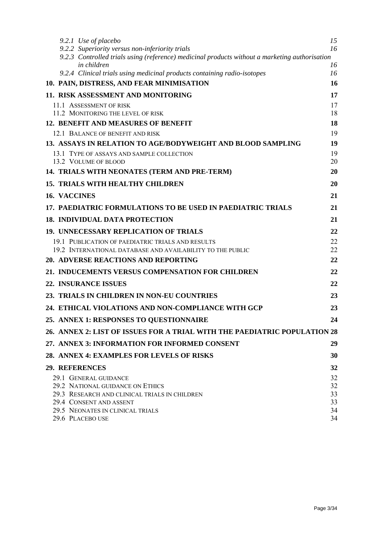| 9.2.1 Use of placebo                                                                           | 15       |
|------------------------------------------------------------------------------------------------|----------|
| 9.2.2 Superiority versus non-inferiority trials                                                | 16       |
| 9.2.3 Controlled trials using (reference) medicinal products without a marketing authorisation |          |
| in children<br>9.2.4 Clinical trials using medicinal products containing radio-isotopes        | 16<br>16 |
| 10. PAIN, DISTRESS, AND FEAR MINIMISATION                                                      | 16       |
|                                                                                                |          |
| 11. RISK ASSESSMENT AND MONITORING                                                             | 17       |
| 11.1 ASSESSMENT OF RISK<br>11.2 MONITORING THE LEVEL OF RISK                                   | 17<br>18 |
| 12. BENEFIT AND MEASURES OF BENEFIT                                                            | 18       |
| 12.1 BALANCE OF BENEFIT AND RISK                                                               | 19       |
| 13. ASSAYS IN RELATION TO AGE/BODYWEIGHT AND BLOOD SAMPLING                                    | 19       |
| 13.1 TYPE OF ASSAYS AND SAMPLE COLLECTION                                                      | 19       |
| 13.2 VOLUME OF BLOOD                                                                           | 20       |
| 14. TRIALS WITH NEONATES (TERM AND PRE-TERM)                                                   | 20       |
| <b>15. TRIALS WITH HEALTHY CHILDREN</b>                                                        | 20       |
| <b>16. VACCINES</b>                                                                            | 21       |
| 17. PAEDIATRIC FORMULATIONS TO BE USED IN PAEDIATRIC TRIALS                                    | 21       |
| <b>18. INDIVIDUAL DATA PROTECTION</b>                                                          | 21       |
| <b>19. UNNECESSARY REPLICATION OF TRIALS</b>                                                   | 22       |
| 19.1 PUBLICATION OF PAEDIATRIC TRIALS AND RESULTS                                              | 22       |
| 19.2 INTERNATIONAL DATABASE AND AVAILABILITY TO THE PUBLIC                                     | 22       |
| 20. ADVERSE REACTIONS AND REPORTING                                                            | 22       |
| 21. INDUCEMENTS VERSUS COMPENSATION FOR CHILDREN                                               | 22       |
| 22. INSURANCE ISSUES                                                                           | 22       |
| 23. TRIALS IN CHILDREN IN NON-EU COUNTRIES                                                     | 23       |
| 24. ETHICAL VIOLATIONS AND NON-COMPLIANCE WITH GCP                                             | 23       |
| 25. ANNEX 1: RESPONSES TO QUESTIONNAIRE                                                        | 24       |
| 26. ANNEX 2: LIST OF ISSUES FOR A TRIAL WITH THE PAEDIATRIC POPULATION 28                      |          |
| 27. ANNEX 3: INFORMATION FOR INFORMED CONSENT                                                  | 29       |
| 28. ANNEX 4: EXAMPLES FOR LEVELS OF RISKS                                                      | 30       |
| 29. REFERENCES                                                                                 | 32       |
| 29.1 GENERAL GUIDANCE                                                                          | 32       |
| 29.2 NATIONAL GUIDANCE ON ETHICS                                                               | 32       |
| 29.3 RESEARCH AND CLINICAL TRIALS IN CHILDREN                                                  | 33       |
| 29.4 CONSENT AND ASSENT                                                                        | 33       |
| 29.5 NEONATES IN CLINICAL TRIALS<br>29.6 PLACEBO USE                                           | 34<br>34 |
|                                                                                                |          |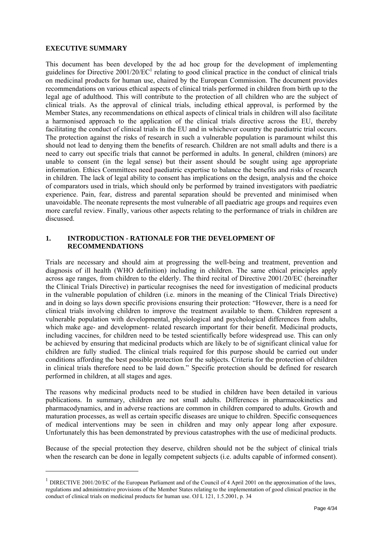### <span id="page-3-0"></span>**EXECUTIVE SUMMARY**

l

This document has been developed by the ad hoc group for the development of implementing guidelines for Directive  $2001/20/\overline{E}C^1$  relating to good clinical practice in the conduct of clinical trials on medicinal products for human use, chaired by the European Commission. The document provides recommendations on various ethical aspects of clinical trials performed in children from birth up to the legal age of adulthood. This will contribute to the protection of all children who are the subject of clinical trials. As the approval of clinical trials, including ethical approval, is performed by the Member States, any recommendations on ethical aspects of clinical trials in children will also facilitate a harmonised approach to the application of the clinical trials directive across the EU, thereby facilitating the conduct of clinical trials in the EU and in whichever country the paediatric trial occurs. The protection against the risks of research in such a vulnerable population is paramount whilst this should not lead to denying them the benefits of research. Children are not small adults and there is a need to carry out specific trials that cannot be performed in adults. In general, children (minors) are unable to consent (in the legal sense) but their assent should be sought using age appropriate information. Ethics Committees need paediatric expertise to balance the benefits and risks of research in children. The lack of legal ability to consent has implications on the design, analysis and the choice of comparators used in trials, which should only be performed by trained investigators with paediatric experience. Pain, fear, distress and parental separation should be prevented and minimised when unavoidable. The neonate represents the most vulnerable of all paediatric age groups and requires even more careful review. Finally, various other aspects relating to the performance of trials in children are discussed.

### <span id="page-3-1"></span>**1. INTRODUCTION - RATIONALE FOR THE DEVELOPMENT OF RECOMMENDATIONS**

Trials are necessary and should aim at progressing the well-being and treatment, prevention and diagnosis of ill health (WHO definition) including in children. The same ethical principles apply across age ranges, from children to the elderly. The third recital of Directive 2001/20/EC (hereinafter the Clinical Trials Directive) in particular recognises the need for investigation of medicinal products in the vulnerable population of children (i.e. minors in the meaning of the Clinical Trials Directive) and in doing so lays down specific provisions ensuring their protection: "However, there is a need for clinical trials involving children to improve the treatment available to them. Children represent a vulnerable population with developmental, physiological and psychological differences from adults, which make age- and development- related research important for their benefit. Medicinal products, including vaccines, for children need to be tested scientifically before widespread use. This can only be achieved by ensuring that medicinal products which are likely to be of significant clinical value for children are fully studied. The clinical trials required for this purpose should be carried out under conditions affording the best possible protection for the subjects. Criteria for the protection of children in clinical trials therefore need to be laid down." Specific protection should be defined for research performed in children, at all stages and ages.

The reasons why medicinal products need to be studied in children have been detailed in various publications. In summary, children are not small adults. Differences in pharmacokinetics and pharmacodynamics, and in adverse reactions are common in children compared to adults. Growth and maturation processes, as well as certain specific diseases are unique to children. Specific consequences of medical interventions may be seen in children and may only appear long after exposure. Unfortunately this has been demonstrated by previous catastrophes with the use of medicinal products.

Because of the special protection they deserve, children should not be the subject of clinical trials when the research can be done in legally competent subjects (i.e. adults capable of informed consent).

<sup>&</sup>lt;sup>1</sup> DIRECTIVE 2001/20/EC of the European Parliament and of the Council of 4 April 2001 on the approximation of the laws, regulations and administrative provisions of the Member States relating to the implementation of good clinical practice in the conduct of clinical trials on medicinal products for human use. OJ L 121, 1.5.2001, p. 34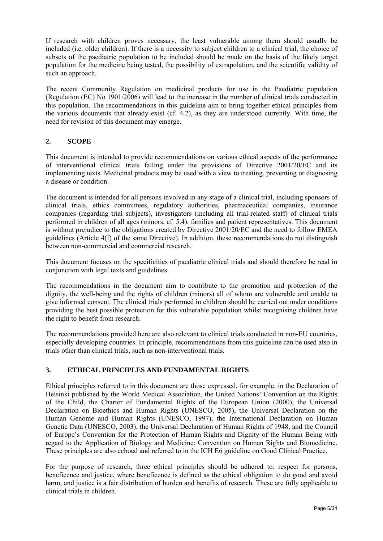If research with children proves necessary, the least vulnerable among them should usually be included (i.e. older children). If there is a necessity to subject children to a clinical trial, the choice of subsets of the paediatric population to be included should be made on the basis of the likely target population for the medicine being tested, the possibility of extrapolation, and the scientific validity of such an approach.

The recent Community Regulation on medicinal products for use in the Paediatric population (Regulation (EC) No 1901/2006) will lead to the increase in the number of clinical trials conducted in this population. The recommendations in this guideline aim to bring together ethical principles from the various documents that already exist (cf. [4.2\),](#page-5-2) as they are understood currently. With time, the need for revision of this document may emerge.

## <span id="page-4-0"></span>**2. SCOPE**

This document is intended to provide recommendations on various ethical aspects of the performance of interventional clinical trials falling under the provisions of Directive 2001/20/EC and its implementing texts. Medicinal products may be used with a view to treating, preventing or diagnosing a disease or condition.

The document is intended for all persons involved in any stage of a clinical trial, including sponsors of clinical trials, ethics committees, regulatory authorities, pharmaceutical companies, insurance companies (regarding trial subjects), investigators (including all trial-related staff) of clinical trials performed in children of all ages (minors, cf. 5.4), families and patient representatives. This document is without prejudice to the obligations created by Directive 2001/20/EC and the need to follow EMEA guidelines (Article 4(f) of the same Directive). In addition, these recommendations do not distinguish between non-commercial and commercial research.

This document focuses on the specificities of paediatric clinical trials and should therefore be read in conjunction with legal texts and guidelines.

The recommendations in the document aim to contribute to the promotion and protection of the dignity, the well-being and the rights of children (minors) all of whom are vulnerable and unable to give informed consent. The clinical trials performed in children should be carried out under conditions providing the best possible protection for this vulnerable population whilst recognising children have the right to benefit from research.

The recommendations provided here are also relevant to clinical trials conducted in non-EU countries, especially developing countries. In principle, recommendations from this guideline can be used also in trials other than clinical trials, such as non-interventional trials.

## <span id="page-4-1"></span>**3. ETHICAL PRINCIPLES AND FUNDAMENTAL RIGHTS**

Ethical principles referred to in this document are those expressed, for example, in the Declaration of Helsinki published by the World Medical Association, the United Nations' Convention on the Rights of the Child, the Charter of Fundamental Rights of the European Union (2000), the Universal Declaration on Bioethics and Human Rights (UNESCO, 2005), the Universal Declaration on the Human Genome and Human Rights (UNESCO, 1997), the International Declaration on Human Genetic Data (UNESCO, 2003), the Universal Declaration of Human Rights of 1948, and the Council of Europe's Convention for the Protection of Human Rights and Dignity of the Human Being with regard to the Application of Biology and Medicine: Convention on Human Rights and Biomedicine. These principles are also echoed and referred to in the ICH E6 guideline on Good Clinical Practice.

For the purpose of research, three ethical principles should be adhered to: respect for persons, beneficence and justice, where beneficence is defined as the ethical obligation to do good and avoid harm, and justice is a fair distribution of burden and benefits of research. These are fully applicable to clinical trials in children.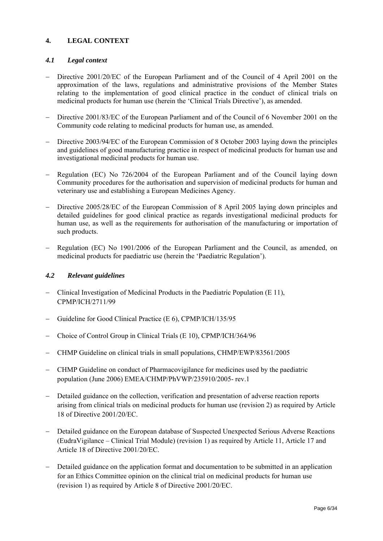## <span id="page-5-0"></span>**4. LEGAL CONTEXT**

## <span id="page-5-1"></span>*4.1 Legal context*

- − Directive 2001/20/EC of the European Parliament and of the Council of 4 April 2001 on the approximation of the laws, regulations and administrative provisions of the Member States relating to the implementation of good clinical practice in the conduct of clinical trials on medicinal products for human use (herein the 'Clinical Trials Directive'), as amended.
- − Directive 2001/83/EC of the European Parliament and of the Council of 6 November 2001 on the Community code relating to medicinal products for human use, as amended.
- − Directive 2003/94/EC of the European Commission of 8 October 2003 laying down the principles and guidelines of good manufacturing practice in respect of medicinal products for human use and investigational medicinal products for human use.
- − Regulation (EC) No 726/2004 of the European Parliament and of the Council laying down Community procedures for the authorisation and supervision of medicinal products for human and veterinary use and establishing a European Medicines Agency.
- − Directive 2005/28/EC of the European Commission of 8 April 2005 laying down principles and detailed guidelines for good clinical practice as regards investigational medicinal products for human use, as well as the requirements for authorisation of the manufacturing or importation of such products.
- − Regulation (EC) No 1901/2006 of the European Parliament and the Council, as amended, on medicinal products for paediatric use (herein the 'Paediatric Regulation').

## <span id="page-5-2"></span>*4.2 Relevant guidelines*

- − Clinical Investigation of Medicinal Products in the Paediatric Population (E 11), CPMP/ICH/2711/99
- − Guideline for Good Clinical Practice (E 6), CPMP/ICH/135/95
- − Choice of Control Group in Clinical Trials (E 10), CPMP/ICH/364/96
- − CHMP Guideline on clinical trials in small populations, CHMP/EWP/83561/2005
- − CHMP Guideline on conduct of Pharmacovigilance for medicines used by the paediatric population (June 2006) EMEA/CHMP/PhVWP/235910/2005- rev.1
- Detailed guidance on the collection, verification and presentation of adverse reaction reports arising from clinical trials on medicinal products for human use (revision 2) as required by Article 18 of Directive 2001/20/EC.
- − Detailed guidance on the European database of Suspected Unexpected Serious Adverse Reactions (EudraVigilance – Clinical Trial Module) (revision 1) as required by Article 11, Article 17 and Article 18 of Directive 2001/20/EC.
- Detailed guidance on the application format and documentation to be submitted in an application for an Ethics Committee opinion on the clinical trial on medicinal products for human use (revision 1) as required by Article 8 of Directive 2001/20/EC.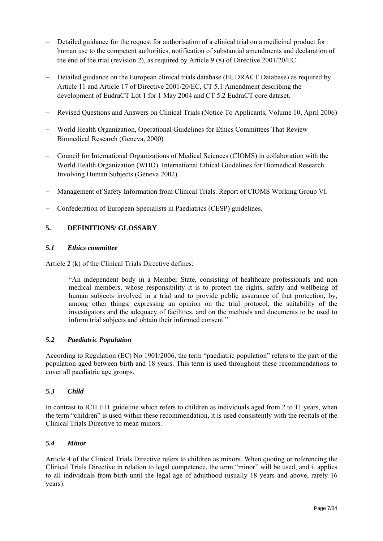- Detailed guidance for the request for authorisation of a clinical trial on a medicinal product for human use to the competent authorities, notification of substantial amendments and declaration of the end of the trial (revision 2), as required by Article 9 (8) of Directive 2001/20/EC.
- Detailed guidance on the European clinical trials database (EUDRACT Database) as required by Article 11 and Article 17 of Directive 2001/20/EC, CT 5.1 Amendment describing the development of EudraCT Lot 1 for 1 May 2004 and CT 5.2 EudraCT core dataset.
- − Revised Questions and Answers on Clinical Trials (Notice To Applicants, Volume 10, April 2006)
- − World Health Organization, Operational Guidelines for Ethics Committees That Review Biomedical Research (Geneva, 2000)
- − Council for International Organizations of Medical Sciences (CIOMS) in collaboration with the World Health Organization (WHO). International Ethical Guidelines for Biomedical Research Involving Human Subjects (Geneva 2002).
- − Management of Safety Information from Clinical Trials. Report of CIOMS Working Group VI.
- − Confederation of European Specialists in Paediatrics (CESP) guidelines.

## <span id="page-6-0"></span>**5. DEFINITIONS/ GLOSSARY**

### <span id="page-6-1"></span>*5.1 Ethics committee*

Article 2 (k) of the Clinical Trials Directive defines:

"An independent body in a Member State, consisting of healthcare professionals and non medical members, whose responsibility it is to protect the rights, safety and wellbeing of human subjects involved in a trial and to provide public assurance of that protection, by, among other things, expressing an opinion on the trial protocol, the suitability of the investigators and the adequacy of facilities, and on the methods and documents to be used to inform trial subjects and obtain their informed consent."

### <span id="page-6-2"></span>*5.2 Paediatric Population*

According to Regulation (EC) No 1901/2006, the term "paediatric population" refers to the part of the population aged between birth and 18 years. This term is used throughout these recommendations to cover all paediatric age groups.

### <span id="page-6-3"></span>*5.3 Child*

In contrast to ICH E11 guideline which refers to children as individuals aged from 2 to 11 years, when the term "children" is used within these recommendation, it is used consistently with the recitals of the Clinical Trials Directive to mean minors.

### <span id="page-6-4"></span>*5.4 Minor*

Article 4 of the Clinical Trials Directive refers to children as minors. When quoting or referencing the Clinical Trials Directive in relation to legal competence, the term "minor" will be used, and it applies to all individuals from birth until the legal age of adulthood (usually 18 years and above, rarely 16 years).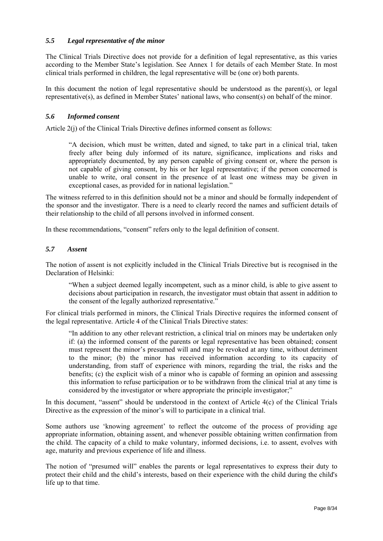### <span id="page-7-0"></span>*5.5 Legal representative of the minor*

The Clinical Trials Directive does not provide for a definition of legal representative, as this varies according to the Member State's legislation. See Annex 1 for details of each Member State. In most clinical trials performed in children, the legal representative will be (one or) both parents.

In this document the notion of legal representative should be understood as the parent(s), or legal representative(s), as defined in Member States' national laws, who consent(s) on behalf of the minor.

### <span id="page-7-1"></span>*5.6 Informed consent*

Article 2(j) of the Clinical Trials Directive defines informed consent as follows:

"A decision, which must be written, dated and signed, to take part in a clinical trial, taken freely after being duly informed of its nature, significance, implications and risks and appropriately documented, by any person capable of giving consent or, where the person is not capable of giving consent, by his or her legal representative; if the person concerned is unable to write, oral consent in the presence of at least one witness may be given in exceptional cases, as provided for in national legislation."

The witness referred to in this definition should not be a minor and should be formally independent of the sponsor and the investigator. There is a need to clearly record the names and sufficient details of their relationship to the child of all persons involved in informed consent.

In these recommendations, "consent" refers only to the legal definition of consent.

### <span id="page-7-2"></span>*5.7 Assent*

The notion of assent is not explicitly included in the Clinical Trials Directive but is recognised in the Declaration of Helsinki:

"When a subject deemed legally incompetent, such as a minor child, is able to give assent to decisions about participation in research, the investigator must obtain that assent in addition to the consent of the legally authorized representative."

For clinical trials performed in minors, the Clinical Trials Directive requires the informed consent of the legal representative. Article 4 of the Clinical Trials Directive states:

"In addition to any other relevant restriction, a clinical trial on minors may be undertaken only if: (a) the informed consent of the parents or legal representative has been obtained; consent must represent the minor's presumed will and may be revoked at any time, without detriment to the minor; (b) the minor has received information according to its capacity of understanding, from staff of experience with minors, regarding the trial, the risks and the benefits; (c) the explicit wish of a minor who is capable of forming an opinion and assessing this information to refuse participation or to be withdrawn from the clinical trial at any time is considered by the investigator or where appropriate the principle investigator;"

In this document, "assent" should be understood in the context of Article 4(c) of the Clinical Trials Directive as the expression of the minor's will to participate in a clinical trial.

Some authors use 'knowing agreement' to reflect the outcome of the process of providing age appropriate information, obtaining assent, and whenever possible obtaining written confirmation from the child. The capacity of a child to make voluntary, informed decisions, i.e. to assent, evolves with age, maturity and previous experience of life and illness.

The notion of "presumed will" enables the parents or legal representatives to express their duty to protect their child and the child's interests, based on their experience with the child during the child's life up to that time.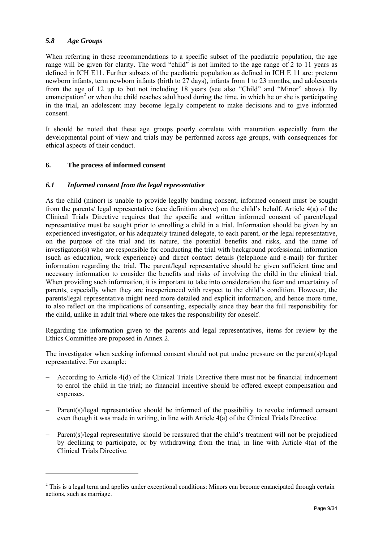## <span id="page-8-0"></span>*5.8 Age Groups*

l

When referring in these recommendations to a specific subset of the paediatric population, the age range will be given for clarity. The word "child" is not limited to the age range of 2 to 11 years as defined in ICH E11. Further subsets of the paediatric population as defined in ICH E 11 are: preterm newborn infants, term newborn infants (birth to 27 days), infants from 1 to 23 months, and adolescents from the age of 12 up to but not including 18 years (see also "Child" and "Minor" above). By emancipation<sup>2</sup> or when the child reaches adulthood during the time, in which he or she is participating in the trial, an adolescent may become legally competent to make decisions and to give informed consent.

It should be noted that these age groups poorly correlate with maturation especially from the developmental point of view and trials may be performed across age groups, with consequences for ethical aspects of their conduct.

### <span id="page-8-1"></span>**6. The process of informed consent**

### <span id="page-8-2"></span>*6.1 Informed consent from the legal representative*

As the child (minor) is unable to provide legally binding consent, informed consent must be sought from the parents/ legal representative (see definition above) on the child's behalf. Article 4(a) of the Clinical Trials Directive requires that the specific and written informed consent of parent/legal representative must be sought prior to enrolling a child in a trial. Information should be given by an experienced investigator, or his adequately trained delegate, to each parent, or the legal representative, on the purpose of the trial and its nature, the potential benefits and risks, and the name of investigators(s) who are responsible for conducting the trial with background professional information (such as education, work experience) and direct contact details (telephone and e-mail) for further information regarding the trial. The parent/legal representative should be given sufficient time and necessary information to consider the benefits and risks of involving the child in the clinical trial. When providing such information, it is important to take into consideration the fear and uncertainty of parents, especially when they are inexperienced with respect to the child's condition. However, the parents/legal representative might need more detailed and explicit information, and hence more time, to also reflect on the implications of consenting, especially since they bear the full responsibility for the child, unlike in adult trial where one takes the responsibility for oneself.

Regarding the information given to the parents and legal representatives, items for review by the Ethics Committee are proposed in Annex 2.

The investigator when seeking informed consent should not put undue pressure on the parent(s)/legal representative. For example:

- − According to Article 4(d) of the Clinical Trials Directive there must not be financial inducement to enrol the child in the trial; no financial incentive should be offered except compensation and expenses.
- − Parent(s)/legal representative should be informed of the possibility to revoke informed consent even though it was made in writing, in line with Article 4(a) of the Clinical Trials Directive.
- − Parent(s)/legal representative should be reassured that the child's treatment will not be prejudiced by declining to participate, or by withdrawing from the trial, in line with Article 4(a) of the Clinical Trials Directive.

 $2$ <sup>2</sup> This is a legal term and applies under exceptional conditions: Minors can become emancipated through certain actions, such as marriage.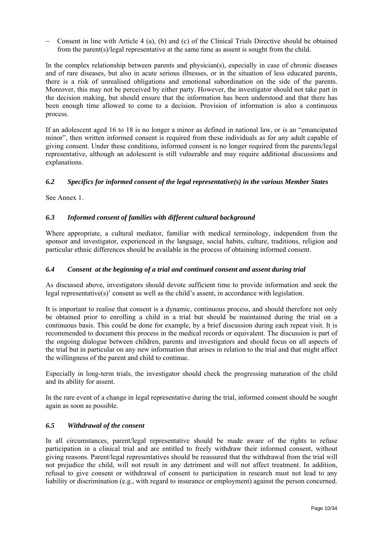− Consent in line with Article 4 (a), (b) and (c) of the Clinical Trials Directive should be obtained from the parent(s)/legal representative at the same time as assent is sought from the child.

In the complex relationship between parents and physician(s), especially in case of chronic diseases and of rare diseases, but also in acute serious illnesses, or in the situation of less educated parents, there is a risk of unrealised obligations and emotional subordination on the side of the parents. Moreover, this may not be perceived by either party. However, the investigator should not take part in the decision making, but should ensure that the information has been understood and that there has been enough time allowed to come to a decision. Provision of information is also a continuous process.

If an adolescent aged 16 to 18 is no longer a minor as defined in national law, or is an "emancipated minor", then written informed consent is required from these individuals as for any adult capable of giving consent. Under these conditions, informed consent is no longer required from the parents/legal representative, although an adolescent is still vulnerable and may require additional discussions and explanations.

### <span id="page-9-0"></span>*6.2 Specifics for informed consent of the legal representative(s) in the various Member States*

See Annex 1.

### <span id="page-9-1"></span>*6.3 Informed consent of families with different cultural background*

Where appropriate, a cultural mediator, familiar with medical terminology, independent from the sponsor and investigator, experienced in the language, social habits, culture, traditions, religion and particular ethnic differences should be available in the process of obtaining informed consent.

### <span id="page-9-2"></span>*6.4 Consent at the beginning of a trial and continued consent and assent during trial*

As discussed above, investigators should devote sufficient time to provide information and seek the legal representative(s)' consent as well as the child's assent, in accordance with legislation.

It is important to realise that consent is a dynamic, continuous process, and should therefore not only be obtained prior to enrolling a child in a trial but should be maintained during the trial on a continuous basis. This could be done for example, by a brief discussion during each repeat visit. It is recommended to document this process in the medical records or equivalent. The discussion is part of the ongoing dialogue between children, parents and investigators and should focus on all aspects of the trial but in particular on any new information that arises in relation to the trial and that might affect the willingness of the parent and child to continue.

Especially in long-term trials, the investigator should check the progressing maturation of the child and its ability for assent.

In the rare event of a change in legal representative during the trial, informed consent should be sought again as soon as possible.

### <span id="page-9-3"></span>*6.5 Withdrawal of the consent*

In all circumstances, parent/legal representative should be made aware of the rights to refuse participation in a clinical trial and are entitled to freely withdraw their informed consent, without giving reasons. Parent/legal representatives should be reassured that the withdrawal from the trial will not prejudice the child, will not result in any detriment and will not affect treatment. In addition, refusal to give consent or withdrawal of consent to participation in research must not lead to any liability or discrimination (e.g., with regard to insurance or employment) against the person concerned.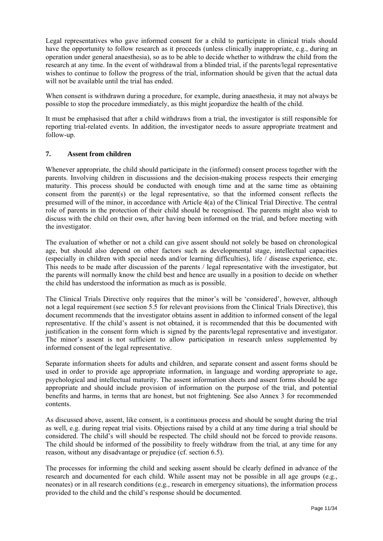Legal representatives who gave informed consent for a child to participate in clinical trials should have the opportunity to follow research as it proceeds (unless clinically inappropriate, e.g., during an operation under general anaesthesia), so as to be able to decide whether to withdraw the child from the research at any time. In the event of withdrawal from a blinded trial, if the parents/legal representative wishes to continue to follow the progress of the trial, information should be given that the actual data will not be available until the trial has ended.

When consent is withdrawn during a procedure, for example, during anaesthesia, it may not always be possible to stop the procedure immediately, as this might jeopardize the health of the child.

It must be emphasised that after a child withdraws from a trial, the investigator is still responsible for reporting trial-related events. In addition, the investigator needs to assure appropriate treatment and follow-up.

### <span id="page-10-0"></span>**7. Assent from children**

Whenever appropriate, the child should participate in the (informed) consent process together with the parents. Involving children in discussions and the decision-making process respects their emerging maturity. This process should be conducted with enough time and at the same time as obtaining consent from the parent(s) or the legal representative, so that the informed consent reflects the presumed will of the minor, in accordance with Article 4(a) of the Clinical Trial Directive. The central role of parents in the protection of their child should be recognised. The parents might also wish to discuss with the child on their own, after having been informed on the trial, and before meeting with the investigator.

The evaluation of whether or not a child can give assent should not solely be based on chronological age, but should also depend on other factors such as developmental stage, intellectual capacities (especially in children with special needs and/or learning difficulties), life / disease experience, etc. This needs to be made after discussion of the parents / legal representative with the investigator, but the parents will normally know the child best and hence are usually in a position to decide on whether the child has understood the information as much as is possible.

The Clinical Trials Directive only requires that the minor's will be 'considered', however, although not a legal requirement (see section 5.5 for relevant provisions from the Clinical Trials Directive), this document recommends that the investigator obtains assent in addition to informed consent of the legal representative. If the child's assent is not obtained, it is recommended that this be documented with justification in the consent form which is signed by the parents/legal representative and investigator. The minor's assent is not sufficient to allow participation in research unless supplemented by informed consent of the legal representative.

Separate information sheets for adults and children, and separate consent and assent forms should be used in order to provide age appropriate information, in language and wording appropriate to age, psychological and intellectual maturity. The assent information sheets and assent forms should be age appropriate and should include provision of information on the purpose of the trial, and potential benefits and harms, in terms that are honest, but not frightening. See also Annex 3 for recommended contents.

As discussed above, assent, like consent, is a continuous process and should be sought during the trial as well, e.g. during repeat trial visits. Objections raised by a child at any time during a trial should be considered. The child's will should be respected. The child should not be forced to provide reasons. The child should be informed of the possibility to freely withdraw from the trial, at any time for any reason, without any disadvantage or prejudice (cf. section 6.5).

The processes for informing the child and seeking assent should be clearly defined in advance of the research and documented for each child. While assent may not be possible in all age groups (e.g., neonates) or in all research conditions (e.g., research in emergency situations), the information process provided to the child and the child's response should be documented.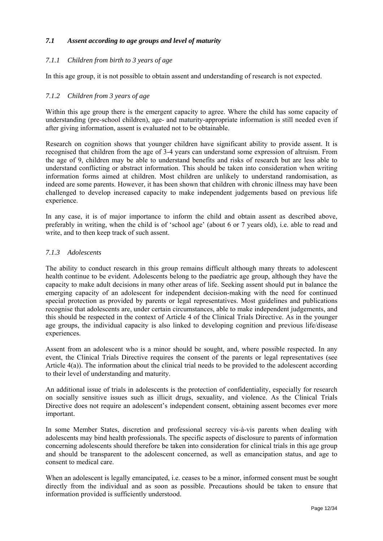## <span id="page-11-0"></span>*7.1 Assent according to age groups and level of maturity*

### <span id="page-11-1"></span>*7.1.1 Children from birth to 3 years of age*

In this age group, it is not possible to obtain assent and understanding of research is not expected.

### <span id="page-11-2"></span>*7.1.2 Children from 3 years of age*

Within this age group there is the emergent capacity to agree. Where the child has some capacity of understanding (pre-school children), age- and maturity-appropriate information is still needed even if after giving information, assent is evaluated not to be obtainable.

Research on cognition shows that younger children have significant ability to provide assent. It is recognised that children from the age of 3-4 years can understand some expression of altruism. From the age of 9, children may be able to understand benefits and risks of research but are less able to understand conflicting or abstract information. This should be taken into consideration when writing information forms aimed at children. Most children are unlikely to understand randomisation, as indeed are some parents. However, it has been shown that children with chronic illness may have been challenged to develop increased capacity to make independent judgements based on previous life experience.

In any case, it is of major importance to inform the child and obtain assent as described above, preferably in writing, when the child is of 'school age' (about 6 or 7 years old), i.e. able to read and write, and to then keep track of such assent.

### <span id="page-11-3"></span>*7.1.3 Adolescents*

The ability to conduct research in this group remains difficult although many threats to adolescent health continue to be evident. Adolescents belong to the paediatric age group, although they have the capacity to make adult decisions in many other areas of life. Seeking assent should put in balance the emerging capacity of an adolescent for independent decision-making with the need for continued special protection as provided by parents or legal representatives. Most guidelines and publications recognise that adolescents are, under certain circumstances, able to make independent judgements, and this should be respected in the context of Article 4 of the Clinical Trials Directive. As in the younger age groups, the individual capacity is also linked to developing cognition and previous life/disease experiences.

Assent from an adolescent who is a minor should be sought, and, where possible respected. In any event, the Clinical Trials Directive requires the consent of the parents or legal representatives (see Article 4(a)). The information about the clinical trial needs to be provided to the adolescent according to their level of understanding and maturity.

An additional issue of trials in adolescents is the protection of confidentiality, especially for research on socially sensitive issues such as illicit drugs, sexuality, and violence. As the Clinical Trials Directive does not require an adolescent's independent consent, obtaining assent becomes ever more important.

In some Member States, discretion and professional secrecy vis-à-vis parents when dealing with adolescents may bind health professionals. The specific aspects of disclosure to parents of information concerning adolescents should therefore be taken into consideration for clinical trials in this age group and should be transparent to the adolescent concerned, as well as emancipation status, and age to consent to medical care.

When an adolescent is legally emancipated, i.e. ceases to be a minor, informed consent must be sought directly from the individual and as soon as possible. Precautions should be taken to ensure that information provided is sufficiently understood.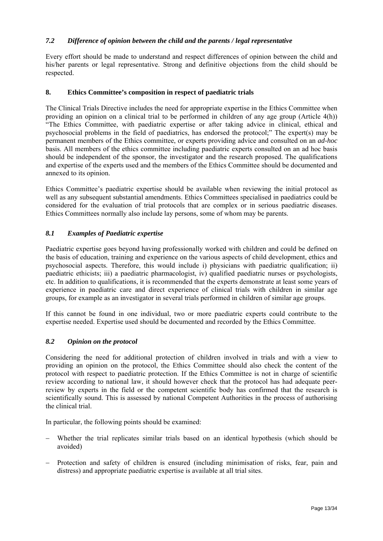## <span id="page-12-0"></span>*7.2 Difference of opinion between the child and the parents / legal representative*

Every effort should be made to understand and respect differences of opinion between the child and his/her parents or legal representative. Strong and definitive objections from the child should be respected.

#### <span id="page-12-1"></span>**8. Ethics Committee's composition in respect of paediatric trials**

The Clinical Trials Directive includes the need for appropriate expertise in the Ethics Committee when providing an opinion on a clinical trial to be performed in children of any age group (Article 4(h)) "The Ethics Committee, with paediatric expertise or after taking advice in clinical, ethical and psychosocial problems in the field of paediatrics, has endorsed the protocol;" The expert(s) may be permanent members of the Ethics committee, or experts providing advice and consulted on an *ad-hoc* basis. All members of the ethics committee including paediatric experts consulted on an ad hoc basis should be independent of the sponsor, the investigator and the research proposed. The qualifications and expertise of the experts used and the members of the Ethics Committee should be documented and annexed to its opinion.

Ethics Committee's paediatric expertise should be available when reviewing the initial protocol as well as any subsequent substantial amendments. Ethics Committees specialised in paediatrics could be considered for the evaluation of trial protocols that are complex or in serious paediatric diseases. Ethics Committees normally also include lay persons, some of whom may be parents.

### <span id="page-12-2"></span>*8.1 Examples of Paediatric expertise*

Paediatric expertise goes beyond having professionally worked with children and could be defined on the basis of education, training and experience on the various aspects of child development, ethics and psychosocial aspects. Therefore, this would include i) physicians with paediatric qualification; ii) paediatric ethicists; iii) a paediatric pharmacologist, iv) qualified paediatric nurses or psychologists, etc. In addition to qualifications, it is recommended that the experts demonstrate at least some years of experience in paediatric care and direct experience of clinical trials with children in similar age groups, for example as an investigator in several trials performed in children of similar age groups.

If this cannot be found in one individual, two or more paediatric experts could contribute to the expertise needed. Expertise used should be documented and recorded by the Ethics Committee.

### <span id="page-12-3"></span>*8.2 Opinion on the protocol*

Considering the need for additional protection of children involved in trials and with a view to providing an opinion on the protocol, the Ethics Committee should also check the content of the protocol with respect to paediatric protection. If the Ethics Committee is not in charge of scientific review according to national law, it should however check that the protocol has had adequate peerreview by experts in the field or the competent scientific body has confirmed that the research is scientifically sound. This is assessed by national Competent Authorities in the process of authorising the clinical trial.

In particular, the following points should be examined:

- Whether the trial replicates similar trials based on an identical hypothesis (which should be avoided)
- − Protection and safety of children is ensured (including minimisation of risks, fear, pain and distress) and appropriate paediatric expertise is available at all trial sites.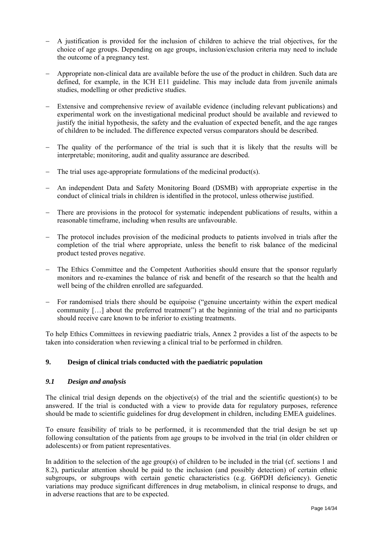- A justification is provided for the inclusion of children to achieve the trial objectives, for the choice of age groups. Depending on age groups, inclusion/exclusion criteria may need to include the outcome of a pregnancy test.
- − Appropriate non-clinical data are available before the use of the product in children. Such data are defined, for example, in the ICH E11 guideline. This may include data from juvenile animals studies, modelling or other predictive studies.
- − Extensive and comprehensive review of available evidence (including relevant publications) and experimental work on the investigational medicinal product should be available and reviewed to justify the initial hypothesis, the safety and the evaluation of expected benefit, and the age ranges of children to be included. The difference expected versus comparators should be described.
- The quality of the performance of the trial is such that it is likely that the results will be interpretable; monitoring, audit and quality assurance are described.
- The trial uses age-appropriate formulations of the medicinal product(s).
- − An independent Data and Safety Monitoring Board (DSMB) with appropriate expertise in the conduct of clinical trials in children is identified in the protocol, unless otherwise justified.
- There are provisions in the protocol for systematic independent publications of results, within a reasonable timeframe, including when results are unfavourable.
- The protocol includes provision of the medicinal products to patients involved in trials after the completion of the trial where appropriate, unless the benefit to risk balance of the medicinal product tested proves negative.
- − The Ethics Committee and the Competent Authorities should ensure that the sponsor regularly monitors and re-examines the balance of risk and benefit of the research so that the health and well being of the children enrolled are safeguarded.
- For randomised trials there should be equipoise ("genuine uncertainty within the expert medical community […] about the preferred treatment") at the beginning of the trial and no participants should receive care known to be inferior to existing treatments.

To help Ethics Committees in reviewing paediatric trials, Annex 2 provides a list of the aspects to be taken into consideration when reviewing a clinical trial to be performed in children.

## <span id="page-13-0"></span>**9. Design of clinical trials conducted with the paediatric population**

### <span id="page-13-1"></span>*9.1 Design and analysis*

The clinical trial design depends on the objective(s) of the trial and the scientific question(s) to be answered. If the trial is conducted with a view to provide data for regulatory purposes, reference should be made to scientific guidelines for drug development in children, including EMEA guidelines.

To ensure feasibility of trials to be performed, it is recommended that the trial design be set up following consultation of the patients from age groups to be involved in the trial (in older children or adolescents) or from patient representatives.

In addition to the selection of the age group(s) of children to be included in the trial (cf. sections 1 and 8.2), particular attention should be paid to the inclusion (and possibly detection) of certain ethnic subgroups, or subgroups with certain genetic characteristics (e.g. G6PDH deficiency). Genetic variations may produce significant differences in drug metabolism, in clinical response to drugs, and in adverse reactions that are to be expected.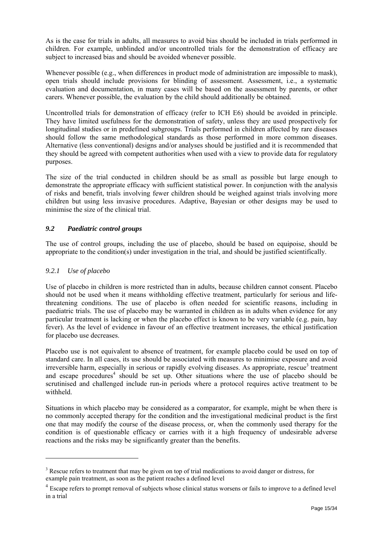As is the case for trials in adults, all measures to avoid bias should be included in trials performed in children. For example, unblinded and/or uncontrolled trials for the demonstration of efficacy are subject to increased bias and should be avoided whenever possible.

Whenever possible (e.g., when differences in product mode of administration are impossible to mask), open trials should include provisions for blinding of assessment. Assessment, i.e., a systematic evaluation and documentation, in many cases will be based on the assessment by parents, or other carers. Whenever possible, the evaluation by the child should additionally be obtained.

Uncontrolled trials for demonstration of efficacy (refer to ICH E6) should be avoided in principle. They have limited usefulness for the demonstration of safety, unless they are used prospectively for longitudinal studies or in predefined subgroups. Trials performed in children affected by rare diseases should follow the same methodological standards as those performed in more common diseases. Alternative (less conventional) designs and/or analyses should be justified and it is recommended that they should be agreed with competent authorities when used with a view to provide data for regulatory purposes.

The size of the trial conducted in children should be as small as possible but large enough to demonstrate the appropriate efficacy with sufficient statistical power. In conjunction with the analysis of risks and benefit, trials involving fewer children should be weighed against trials involving more children but using less invasive procedures. Adaptive, Bayesian or other designs may be used to minimise the size of the clinical trial.

## <span id="page-14-0"></span>*9.2 Paediatric control groups*

The use of control groups, including the use of placebo, should be based on equipoise, should be appropriate to the condition(s) under investigation in the trial, and should be justified scientifically.

## <span id="page-14-1"></span>*9.2.1 Use of placebo*

l

Use of placebo in children is more restricted than in adults, because children cannot consent. Placebo should not be used when it means withholding effective treatment, particularly for serious and lifethreatening conditions. The use of placebo is often needed for scientific reasons, including in paediatric trials. The use of placebo may be warranted in children as in adults when evidence for any particular treatment is lacking or when the placebo effect is known to be very variable (e.g. pain, hay fever). As the level of evidence in favour of an effective treatment increases, the ethical justification for placebo use decreases.

Placebo use is not equivalent to absence of treatment, for example placebo could be used on top of standard care. In all cases, its use should be associated with measures to minimise exposure and avoid irreversible harm, especially in serious or rapidly evolving diseases. As appropriate, rescue<sup>3</sup> treatment and escape procedures<sup>4</sup> should be set up. Other situations where the use of placebo should be scrutinised and challenged include run-in periods where a protocol requires active treatment to be withheld.

Situations in which placebo may be considered as a comparator, for example, might be when there is no commonly accepted therapy for the condition and the investigational medicinal product is the first one that may modify the course of the disease process, or, when the commonly used therapy for the condition is of questionable efficacy or carries with it a high frequency of undesirable adverse reactions and the risks may be significantly greater than the benefits.

<sup>&</sup>lt;sup>3</sup> Rescue refers to treatment that may be given on top of trial medications to avoid danger or distress, for example pain treatment, as soon as the patient reaches a defined level

<sup>&</sup>lt;sup>4</sup> Escape refers to prompt removal of subjects whose clinical status worsens or fails to improve to a defined level in a trial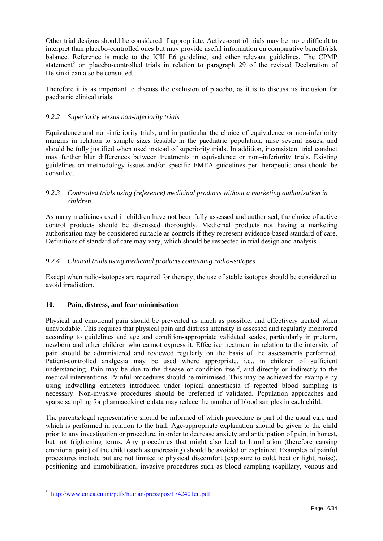Other trial designs should be considered if appropriate. Active-control trials may be more difficult to interpret than placebo-controlled ones but may provide useful information on comparative benefit/risk balance. Reference is made to the ICH E6 guideline, and other relevant guidelines. The CPMP statement<sup>5</sup> on placebo-controlled trials in relation to paragraph 29 of the revised Declaration of Helsinki can also be consulted.

Therefore it is as important to discuss the exclusion of placebo, as it is to discuss its inclusion for paediatric clinical trials.

## <span id="page-15-0"></span>*9.2.2 Superiority versus non-inferiority trials*

Equivalence and non-inferiority trials, and in particular the choice of equivalence or non-inferiority margins in relation to sample sizes feasible in the paediatric population, raise several issues, and should be fully justified when used instead of superiority trials. In addition, inconsistent trial conduct may further blur differences between treatments in equivalence or non–inferiority trials. Existing guidelines on methodology issues and/or specific EMEA guidelines per therapeutic area should be consulted.

#### <span id="page-15-1"></span>*9.2.3 Controlled trials using (reference) medicinal products without a marketing authorisation in children*

As many medicines used in children have not been fully assessed and authorised, the choice of active control products should be discussed thoroughly. Medicinal products not having a marketing authorisation may be considered suitable as controls if they represent evidence-based standard of care. Definitions of standard of care may vary, which should be respected in trial design and analysis.

### <span id="page-15-2"></span>*9.2.4 Clinical trials using medicinal products containing radio-isotopes*

Except when radio-isotopes are required for therapy, the use of stable isotopes should be considered to avoid irradiation.

### <span id="page-15-3"></span>**10. Pain, distress, and fear minimisation**

Physical and emotional pain should be prevented as much as possible, and effectively treated when unavoidable. This requires that physical pain and distress intensity is assessed and regularly monitored according to guidelines and age and condition-appropriate validated scales, particularly in preterm, newborn and other children who cannot express it. Effective treatment in relation to the intensity of pain should be administered and reviewed regularly on the basis of the assessments performed. Patient-controlled analgesia may be used where appropriate, i.e., in children of sufficient understanding*.* Pain may be due to the disease or condition itself, and directly or indirectly to the medical interventions. Painful procedures should be minimised. This may be achieved for example by using indwelling catheters introduced under topical anaesthesia if repeated blood sampling is necessary. Non-invasive procedures should be preferred if validated. Population approaches and sparse sampling for pharmacokinetic data may reduce the number of blood samples in each child.

The parents/legal representative should be informed of which procedure is part of the usual care and which is performed in relation to the trial. Age-appropriate explanation should be given to the child prior to any investigation or procedure, in order to decrease anxiety and anticipation of pain, in honest, but not frightening terms. Any procedures that might also lead to humiliation (therefore causing emotional pain) of the child (such as undressing) should be avoided or explained. Examples of painful procedures include but are not limited to physical discomfort (exposure to cold, heat or light, noise), positioning and immobilisation, invasive procedures such as blood sampling (capillary, venous and

l

<sup>&</sup>lt;sup>5</sup> http://www.emea.eu.int/pdfs/human/press/pos/1742401en.pdf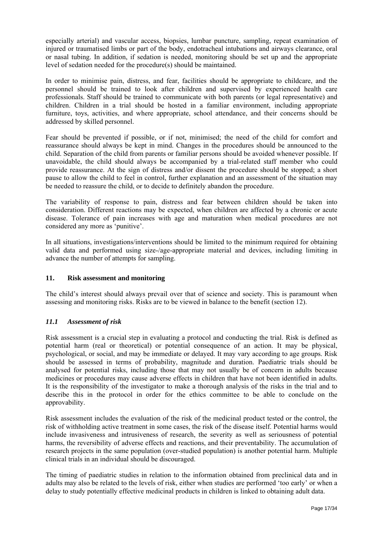especially arterial) and vascular access, biopsies, lumbar puncture, sampling, repeat examination of injured or traumatised limbs or part of the body, endotracheal intubations and airways clearance, oral or nasal tubing. In addition, if sedation is needed, monitoring should be set up and the appropriate level of sedation needed for the procedure(s) should be maintained.

In order to minimise pain, distress, and fear, facilities should be appropriate to childcare, and the personnel should be trained to look after children and supervised by experienced health care professionals. Staff should be trained to communicate with both parents (or legal representative) and children. Children in a trial should be hosted in a familiar environment, including appropriate furniture, toys, activities, and where appropriate, school attendance, and their concerns should be addressed by skilled personnel.

Fear should be prevented if possible, or if not, minimised; the need of the child for comfort and reassurance should always be kept in mind. Changes in the procedures should be announced to the child. Separation of the child from parents or familiar persons should be avoided whenever possible. If unavoidable, the child should always be accompanied by a trial-related staff member who could provide reassurance. At the sign of distress and/or dissent the procedure should be stopped; a short pause to allow the child to feel in control, further explanation and an assessment of the situation may be needed to reassure the child, or to decide to definitely abandon the procedure.

The variability of response to pain, distress and fear between children should be taken into consideration. Different reactions may be expected, when children are affected by a chronic or acute disease. Tolerance of pain increases with age and maturation when medical procedures are not considered any more as 'punitive'.

In all situations, investigations/interventions should be limited to the minimum required for obtaining valid data and performed using size-/age-appropriate material and devices, including limiting in advance the number of attempts for sampling.

## <span id="page-16-0"></span>**11. Risk assessment and monitoring**

The child's interest should always prevail over that of science and society. This is paramount when assessing and monitoring risks. Risks are to be viewed in balance to the benefit (section 12).

## <span id="page-16-1"></span>*11.1 Assessment of risk*

Risk assessment is a crucial step in evaluating a protocol and conducting the trial. Risk is defined as potential harm (real or theoretical) or potential consequence of an action. It may be physical, psychological, or social, and may be immediate or delayed. It may vary according to age groups. Risk should be assessed in terms of probability, magnitude and duration. Paediatric trials should be analysed for potential risks, including those that may not usually be of concern in adults because medicines or procedures may cause adverse effects in children that have not been identified in adults. It is the responsibility of the investigator to make a thorough analysis of the risks in the trial and to describe this in the protocol in order for the ethics committee to be able to conclude on the approvability.

Risk assessment includes the evaluation of the risk of the medicinal product tested or the control, the risk of withholding active treatment in some cases, the risk of the disease itself. Potential harms would include invasiveness and intrusiveness of research, the severity as well as seriousness of potential harms, the reversibility of adverse effects and reactions, and their preventability. The accumulation of research projects in the same population (over-studied population) is another potential harm. Multiple clinical trials in an individual should be discouraged.

The timing of paediatric studies in relation to the information obtained from preclinical data and in adults may also be related to the levels of risk, either when studies are performed 'too early' or when a delay to study potentially effective medicinal products in children is linked to obtaining adult data.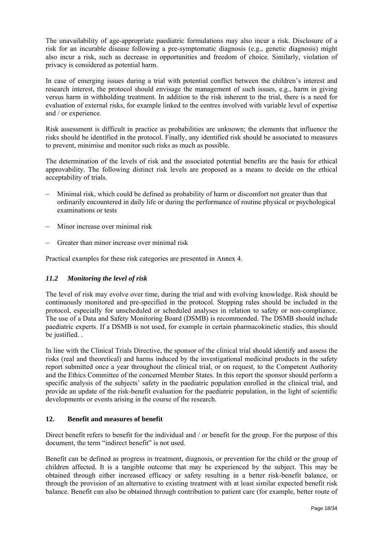The unavailability of age-appropriate paediatric formulations may also incur a risk. Disclosure of a risk for an incurable disease following a pre-symptomatic diagnosis (e.g., genetic diagnosis) might also incur a risk, such as decrease in opportunities and freedom of choice. Similarly, violation of privacy is considered as potential harm.

In case of emerging issues during a trial with potential conflict between the children's interest and research interest, the protocol should envisage the management of such issues, e.g., harm in giving versus harm in withholding treatment. In addition to the risk inherent to the trial, there is a need for evaluation of external risks, for example linked to the centres involved with variable level of expertise and / or experience.

Risk assessment is difficult in practice as probabilities are unknown; the elements that influence the risks should be identified in the protocol. Finally, any identified risk should be associated to measures to prevent, minimise and monitor such risks as much as possible.

The determination of the levels of risk and the associated potential benefits are the basis for ethical approvability. The following distinct risk levels are proposed as a means to decide on the ethical acceptability of trials.

- − Minimal risk, which could be defined as probability of harm or discomfort not greater than that ordinarily encountered in daily life or during the performance of routine physical or psychological examinations or tests
- Minor increase over minimal risk
- Greater than minor increase over minimal risk

Practical examples for these risk categories are presented in Annex 4.

## <span id="page-17-0"></span>*11.2 Monitoring the level of risk*

The level of risk may evolve over time, during the trial and with evolving knowledge. Risk should be continuously monitored and pre-specified in the protocol. Stopping rules should be included in the protocol, especially for unscheduled or scheduled analyses in relation to safety or non-compliance. The use of a Data and Safety Monitoring Board (DSMB) is recommended. The DSMB should include paediatric experts. If a DSMB is not used, for example in certain pharmacokinetic studies, this should be justified. .

In line with the Clinical Trials Directive, the sponsor of the clinical trial should identify and assess the risks (real and theoretical) and harms induced by the investigational medicinal products in the safety report submitted once a year throughout the clinical trial, or on request, to the Competent Authority and the Ethics Committee of the concerned Member States. In this report the sponsor should perform a specific analysis of the subjects' safety in the paediatric population enrolled in the clinical trial, and provide an update of the risk-benefit evaluation for the paediatric population, in the light of scientific developments or events arising in the course of the research.

## <span id="page-17-1"></span>**12. Benefit and measures of benefit**

Direct benefit refers to benefit for the individual and / or benefit for the group. For the purpose of this document, the term "indirect benefit" is not used.

Benefit can be defined as progress in treatment, diagnosis, or prevention for the child or the group of children affected. It is a tangible outcome that may be experienced by the subject. This may be obtained through either increased efficacy or safety resulting in a better risk-benefit balance, or through the provision of an alternative to existing treatment with at least similar expected benefit risk balance. Benefit can also be obtained through contribution to patient care (for example, better route of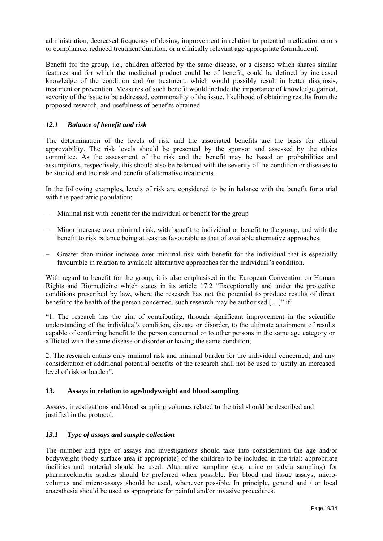administration, decreased frequency of dosing, improvement in relation to potential medication errors or compliance, reduced treatment duration, or a clinically relevant age-appropriate formulation).

Benefit for the group, i.e., children affected by the same disease, or a disease which shares similar features and for which the medicinal product could be of benefit, could be defined by increased knowledge of the condition and /or treatment, which would possibly result in better diagnosis, treatment or prevention. Measures of such benefit would include the importance of knowledge gained, severity of the issue to be addressed, commonality of the issue, likelihood of obtaining results from the proposed research, and usefulness of benefits obtained.

## <span id="page-18-0"></span>*12.1 Balance of benefit and risk*

The determination of the levels of risk and the associated benefits are the basis for ethical approvability. The risk levels should be presented by the sponsor and assessed by the ethics committee. As the assessment of the risk and the benefit may be based on probabilities and assumptions, respectively, this should also be balanced with the severity of the condition or diseases to be studied and the risk and benefit of alternative treatments.

In the following examples, levels of risk are considered to be in balance with the benefit for a trial with the paediatric population:

- Minimal risk with benefit for the individual or benefit for the group
- Minor increase over minimal risk, with benefit to individual or benefit to the group, and with the benefit to risk balance being at least as favourable as that of available alternative approaches.
- − Greater than minor increase over minimal risk with benefit for the individual that is especially favourable in relation to available alternative approaches for the individual's condition.

With regard to benefit for the group, it is also emphasised in the European Convention on Human Rights and Biomedicine which states in its article 17.2 "Exceptionally and under the protective conditions prescribed by law, where the research has not the potential to produce results of direct benefit to the health of the person concerned, such research may be authorised […]" if:

"1. The research has the aim of contributing, through significant improvement in the scientific understanding of the individual's condition, disease or disorder, to the ultimate attainment of results capable of conferring benefit to the person concerned or to other persons in the same age category or afflicted with the same disease or disorder or having the same condition;

2. The research entails only minimal risk and minimal burden for the individual concerned; and any consideration of additional potential benefits of the research shall not be used to justify an increased level of risk or burden".

### <span id="page-18-1"></span>**13. Assays in relation to age/bodyweight and blood sampling**

Assays, investigations and blood sampling volumes related to the trial should be described and justified in the protocol.

### <span id="page-18-2"></span>*13.1 Type of assays and sample collection*

The number and type of assays and investigations should take into consideration the age and/or bodyweight (body surface area if appropriate) of the children to be included in the trial: appropriate facilities and material should be used. Alternative sampling (e.g. urine or salvia sampling) for pharmacokinetic studies should be preferred when possible. For blood and tissue assays, microvolumes and micro-assays should be used, whenever possible. In principle, general and / or local anaesthesia should be used as appropriate for painful and/or invasive procedures.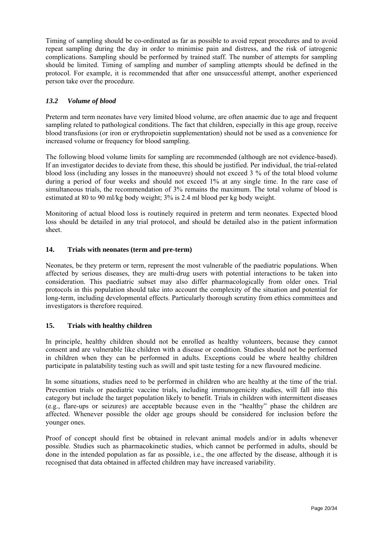Timing of sampling should be co-ordinated as far as possible to avoid repeat procedures and to avoid repeat sampling during the day in order to minimise pain and distress, and the risk of iatrogenic complications. Sampling should be performed by trained staff. The number of attempts for sampling should be limited. Timing of sampling and number of sampling attempts should be defined in the protocol. For example, it is recommended that after one unsuccessful attempt, another experienced person take over the procedure.

## <span id="page-19-0"></span>*13.2 Volume of blood*

Preterm and term neonates have very limited blood volume, are often anaemic due to age and frequent sampling related to pathological conditions. The fact that children, especially in this age group, receive blood transfusions (or iron or erythropoietin supplementation) should not be used as a convenience for increased volume or frequency for blood sampling.

The following blood volume limits for sampling are recommended (although are not evidence-based). If an investigator decides to deviate from these, this should be justified. Per individual, the trial-related blood loss (including any losses in the manoeuvre) should not exceed 3 % of the total blood volume during a period of four weeks and should not exceed 1% at any single time. In the rare case of simultaneous trials, the recommendation of 3% remains the maximum. The total volume of blood is estimated at 80 to 90 ml/kg body weight; 3% is 2.4 ml blood per kg body weight.

Monitoring of actual blood loss is routinely required in preterm and term neonates. Expected blood loss should be detailed in any trial protocol, and should be detailed also in the patient information sheet.

## <span id="page-19-1"></span>**14. Trials with neonates (term and pre-term)**

Neonates, be they preterm or term, represent the most vulnerable of the paediatric populations. When affected by serious diseases, they are multi-drug users with potential interactions to be taken into consideration. This paediatric subset may also differ pharmacologically from older ones. Trial protocols in this population should take into account the complexity of the situation and potential for long-term, including developmental effects. Particularly thorough scrutiny from ethics committees and investigators is therefore required.

## <span id="page-19-2"></span>**15. Trials with healthy children**

In principle, healthy children should not be enrolled as healthy volunteers, because they cannot consent and are vulnerable like children with a disease or condition. Studies should not be performed in children when they can be performed in adults. Exceptions could be where healthy children participate in palatability testing such as swill and spit taste testing for a new flavoured medicine.

In some situations, studies need to be performed in children who are healthy at the time of the trial. Prevention trials or paediatric vaccine trials, including immunogenicity studies, will fall into this category but include the target population likely to benefit. Trials in children with intermittent diseases (e.g., flare-ups or seizures) are acceptable because even in the "healthy" phase the children are affected. Whenever possible the older age groups should be considered for inclusion before the younger ones.

Proof of concept should first be obtained in relevant animal models and/or in adults whenever possible. Studies such as pharmacokinetic studies, which cannot be performed in adults, should be done in the intended population as far as possible, i.e., the one affected by the disease, although it is recognised that data obtained in affected children may have increased variability.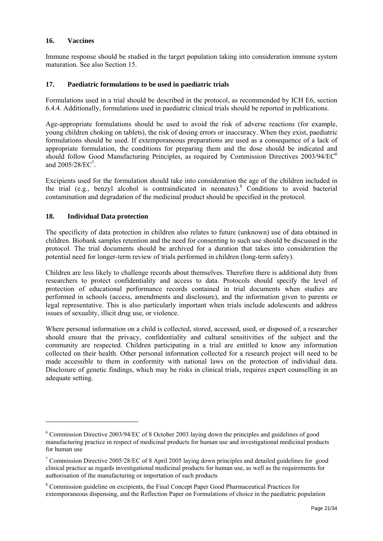### <span id="page-20-0"></span>**16. Vaccines**

Immune response should be studied in the target population taking into consideration immune system maturation. See also Section 15.

### <span id="page-20-1"></span>**17. Paediatric formulations to be used in paediatric trials**

Formulations used in a trial should be described in the protocol, as recommended by ICH E6, section 6.4.4. Additionally, formulations used in paediatric clinical trials should be reported in publications.

Age-appropriate formulations should be used to avoid the risk of adverse reactions (for example, young children choking on tablets), the risk of dosing errors or inaccuracy. When they exist, paediatric formulations should be used. If extemporaneous preparations are used as a consequence of a lack of appropriate formulation, the conditions for preparing them and the dose should be indicated and should follow Good Manufacturing Principles, as required by Commission Directives  $2003/94/EC^6$ and  $2005/28/EC^7$ .

Excipients used for the formulation should take into consideration the age of the children included in the trial (e.g., benzyl alcohol is contraindicated in neonates).<sup>8</sup> Conditions to avoid bacterial contamination and degradation of the medicinal product should be specified in the protocol.

### <span id="page-20-2"></span>**18. Individual Data protection**

l

The specificity of data protection in children also relates to future (unknown) use of data obtained in children. Biobank samples retention and the need for consenting to such use should be discussed in the protocol. The trial documents should be archived for a duration that takes into consideration the potential need for longer-term review of trials performed in children (long-term safety).

Children are less likely to challenge records about themselves. Therefore there is additional duty from researchers to protect confidentiality and access to data. Protocols should specify the level of protection of educational performance records contained in trial documents when studies are performed in schools (access, amendments and disclosure), and the information given to parents or legal representative. This is also particularly important when trials include adolescents and address issues of sexuality, illicit drug use, or violence.

Where personal information on a child is collected, stored, accessed, used, or disposed of, a researcher should ensure that the privacy, confidentiality and cultural sensitivities of the subject and the community are respected. Children participating in a trial are entitled to know any information collected on their health. Other personal information collected for a research project will need to be made accessible to them in conformity with national laws on the protection of individual data. Disclosure of genetic findings, which may be risks in clinical trials, requires expert counselling in an adequate setting.

<sup>&</sup>lt;sup>6</sup> Commission Directive 2003/94/EC of 8 October 2003 laying down the principles and guidelines of good manufacturing practice in respect of medicinal products for human use and investigational medicinal products for human use

<sup>&</sup>lt;sup>7</sup> Commission Directive 2005/28/EC of 8 April 2005 laying down principles and detailed guidelines for good clinical practice as regards investigational medicinal products for human use, as well as the requirements for authorisation of the manufacturing or importation of such products

<sup>&</sup>lt;sup>8</sup> Commission guideline on excipients, the Final Concept Paper Good Pharmaceutical Practices for extemporaneous dispensing, and the Reflection Paper on Formulations of choice in the paediatric population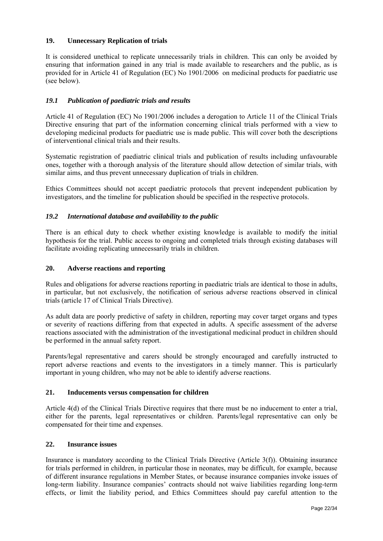### <span id="page-21-0"></span>**19. Unnecessary Replication of trials**

It is considered unethical to replicate unnecessarily trials in children. This can only be avoided by ensuring that information gained in any trial is made available to researchers and the public, as is provided for in Article 41 of Regulation (EC) No 1901/2006 on medicinal products for paediatric use (see below).

### <span id="page-21-1"></span>*19.1 Publication of paediatric trials and results*

Article 41 of Regulation (EC) No 1901/2006 includes a derogation to Article 11 of the Clinical Trials Directive ensuring that part of the information concerning clinical trials performed with a view to developing medicinal products for paediatric use is made public. This will cover both the descriptions of interventional clinical trials and their results.

Systematic registration of paediatric clinical trials and publication of results including unfavourable ones, together with a thorough analysis of the literature should allow detection of similar trials, with similar aims, and thus prevent unnecessary duplication of trials in children.

Ethics Committees should not accept paediatric protocols that prevent independent publication by investigators, and the timeline for publication should be specified in the respective protocols.

### <span id="page-21-2"></span>*19.2 International database and availability to the public*

There is an ethical duty to check whether existing knowledge is available to modify the initial hypothesis for the trial. Public access to ongoing and completed trials through existing databases will facilitate avoiding replicating unnecessarily trials in children.

### <span id="page-21-3"></span>**20. Adverse reactions and reporting**

Rules and obligations for adverse reactions reporting in paediatric trials are identical to those in adults, in particular, but not exclusively, the notification of serious adverse reactions observed in clinical trials (article 17 of Clinical Trials Directive).

As adult data are poorly predictive of safety in children, reporting may cover target organs and types or severity of reactions differing from that expected in adults. A specific assessment of the adverse reactions associated with the administration of the investigational medicinal product in children should be performed in the annual safety report.

Parents/legal representative and carers should be strongly encouraged and carefully instructed to report adverse reactions and events to the investigators in a timely manner. This is particularly important in young children, who may not be able to identify adverse reactions.

### <span id="page-21-4"></span>**21. Inducements versus compensation for children**

Article 4(d) of the Clinical Trials Directive requires that there must be no inducement to enter a trial, either for the parents, legal representatives or children. Parents/legal representative can only be compensated for their time and expenses.

### <span id="page-21-5"></span>**22. Insurance issues**

Insurance is mandatory according to the Clinical Trials Directive (Article 3(f)). Obtaining insurance for trials performed in children, in particular those in neonates, may be difficult, for example, because of different insurance regulations in Member States, or because insurance companies invoke issues of long-term liability. Insurance companies' contracts should not waive liabilities regarding long-term effects, or limit the liability period, and Ethics Committees should pay careful attention to the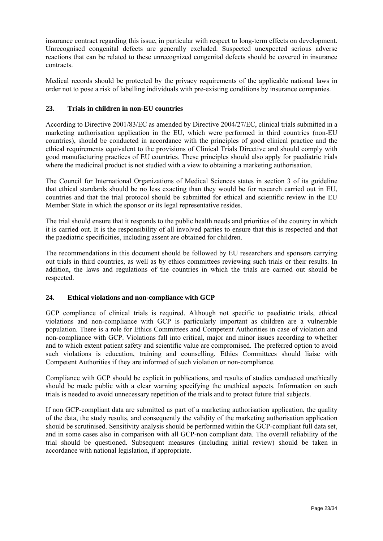insurance contract regarding this issue, in particular with respect to long-term effects on development. Unrecognised congenital defects are generally excluded. Suspected unexpected serious adverse reactions that can be related to these unrecognized congenital defects should be covered in insurance contracts.

Medical records should be protected by the privacy requirements of the applicable national laws in order not to pose a risk of labelling individuals with pre-existing conditions by insurance companies.

## <span id="page-22-0"></span>**23. Trials in children in non-EU countries**

According to Directive 2001/83/EC as amended by Directive 2004/27/EC, clinical trials submitted in a marketing authorisation application in the EU, which were performed in third countries (non-EU countries), should be conducted in accordance with the principles of good clinical practice and the ethical requirements equivalent to the provisions of Clinical Trials Directive and should comply with good manufacturing practices of EU countries. These principles should also apply for paediatric trials where the medicinal product is not studied with a view to obtaining a marketing authorisation.

The Council for International Organizations of Medical Sciences states in section 3 of its guideline that ethical standards should be no less exacting than they would be for research carried out in EU, countries and that the trial protocol should be submitted for ethical and scientific review in the EU Member State in which the sponsor or its legal representative resides.

The trial should ensure that it responds to the public health needs and priorities of the country in which it is carried out. It is the responsibility of all involved parties to ensure that this is respected and that the paediatric specificities, including assent are obtained for children.

The recommendations in this document should be followed by EU researchers and sponsors carrying out trials in third countries, as well as by ethics committees reviewing such trials or their results. In addition, the laws and regulations of the countries in which the trials are carried out should be respected.

## <span id="page-22-1"></span>**24. Ethical violations and non-compliance with GCP**

GCP compliance of clinical trials is required. Although not specific to paediatric trials, ethical violations and non-compliance with GCP is particularly important as children are a vulnerable population. There is a role for Ethics Committees and Competent Authorities in case of violation and non-compliance with GCP. Violations fall into critical, major and minor issues according to whether and to which extent patient safety and scientific value are compromised. The preferred option to avoid such violations is education, training and counselling. Ethics Committees should liaise with Competent Authorities if they are informed of such violation or non-compliance.

Compliance with GCP should be explicit in publications, and results of studies conducted unethically should be made public with a clear warning specifying the unethical aspects. Information on such trials is needed to avoid unnecessary repetition of the trials and to protect future trial subjects.

If non GCP-compliant data are submitted as part of a marketing authorisation application, the quality of the data, the study results, and consequently the validity of the marketing authorisation application should be scrutinised. Sensitivity analysis should be performed within the GCP-compliant full data set, and in some cases also in comparison with all GCP-non compliant data. The overall reliability of the trial should be questioned. Subsequent measures (including initial review) should be taken in accordance with national legislation, if appropriate.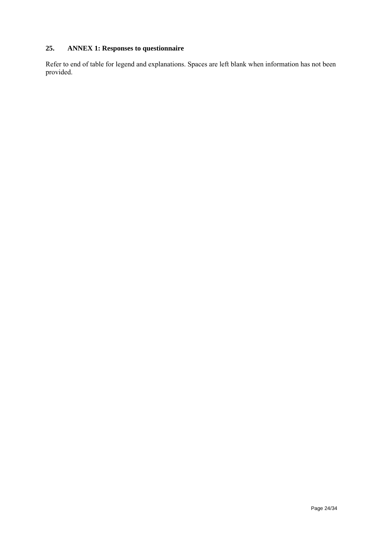# <span id="page-23-0"></span>**25. ANNEX 1: Responses to questionnaire**

Refer to end of table for legend and explanations. Spaces are left blank when information has not been provided.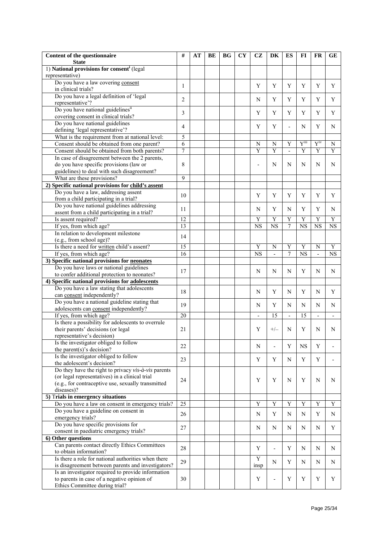| Content of the questionnaire                           | #              | AT | BE | <b>BG</b> | CY | CZ                       | DK                     | ES                       | FI                     | <b>FR</b> | <b>GE</b>              |
|--------------------------------------------------------|----------------|----|----|-----------|----|--------------------------|------------------------|--------------------------|------------------------|-----------|------------------------|
| <b>State</b>                                           |                |    |    |           |    |                          |                        |                          |                        |           |                        |
| 1) National provisions for consent <sup>i</sup> (legal |                |    |    |           |    |                          |                        |                          |                        |           |                        |
| representative)                                        |                |    |    |           |    |                          |                        |                          |                        |           |                        |
| Do you have a law covering consent                     | 1              |    |    |           |    | Y                        | Y                      | Y                        | Y                      | Y         | Y                      |
| in clinical trials?                                    |                |    |    |           |    |                          |                        |                          |                        |           |                        |
| Do you have a legal definition of 'legal               | $\overline{2}$ |    |    |           |    | N                        | Y                      | Y                        | Y                      | Y         | Y                      |
| representative'?                                       |                |    |    |           |    |                          |                        |                          |                        |           |                        |
| Do you have national guidelines <sup>11</sup>          | 3              |    |    |           |    | Y                        | Y                      | Y                        | Y                      | Y         | Y                      |
| covering consent in clinical trials?                   |                |    |    |           |    |                          |                        |                          |                        |           |                        |
| Do you have national guidelines                        |                |    |    |           |    |                          |                        |                          |                        |           |                        |
| defining 'legal representative'?                       | 4              |    |    |           |    | Y                        | Y                      |                          | N                      | Y         | N                      |
| What is the requirement from at national level:        | 5              |    |    |           |    |                          |                        |                          |                        |           |                        |
| Consent should be obtained from one parent?            | 6              |    |    |           |    | N                        | N                      | Y                        | $Y^{iii}$              | $Y^{iv}$  | N                      |
| Consent should be obtained from both parents?          | $\overline{7}$ |    |    |           |    | Y                        | Y                      | $\overline{\phantom{a}}$ | Y                      | Y         | Y                      |
| In case of disagreement between the 2 parents,         |                |    |    |           |    |                          |                        |                          |                        |           |                        |
| do you have specific provisions (law or                | 8              |    |    |           |    | Ĭ.                       | N                      | N                        | N                      | N         | N                      |
|                                                        |                |    |    |           |    |                          |                        |                          |                        |           |                        |
| guidelines) to deal with such disagreement?            | $\overline{9}$ |    |    |           |    |                          |                        |                          |                        |           |                        |
| What are these provisions?                             |                |    |    |           |    |                          |                        |                          |                        |           |                        |
| 2) Specific national provisions for child's assent     |                |    |    |           |    |                          |                        |                          |                        |           |                        |
| Do you have a law, addressing assent                   | 10             |    |    |           |    | Y                        | Y                      | Y                        | Y                      | Y         | Y                      |
| from a child participating in a trial?                 |                |    |    |           |    |                          |                        |                          |                        |           |                        |
| Do you have national guidelines addressing             | 11             |    |    |           |    | N                        | Y                      | N                        | Y                      | Y         | N                      |
| assent from a child participating in a trial?          |                |    |    |           |    |                          |                        |                          |                        |           |                        |
| Is assent required?                                    | 12             |    |    |           |    | Y                        | Y                      | Y                        | Y                      | Y         | Y                      |
| If yes, from which age?                                | 13             |    |    |           |    | <b>NS</b>                | $\overline{\text{NS}}$ | $\overline{7}$           | $\overline{\text{NS}}$ | <b>NS</b> | $\overline{\text{NS}}$ |
| In relation to development milestone                   |                |    |    |           |    |                          |                        |                          |                        |           |                        |
| (e.g., from school age)?                               | 14             |    |    |           |    |                          |                        |                          |                        |           |                        |
| Is there a need for written child's assent?            | 15             |    |    |           |    | Y                        | N                      | $\overline{Y}$           | Y                      | N         | Y                      |
| If yes, from which age?                                | 16             |    |    |           |    | <b>NS</b>                |                        | $\overline{7}$           | $\overline{\text{NS}}$ |           | <b>NS</b>              |
| 3) Specific national provisions for neonates           |                |    |    |           |    |                          |                        |                          |                        |           |                        |
| Do you have laws or national guidelines                |                |    |    |           |    |                          |                        |                          |                        |           |                        |
| to confer additional protection to neonates?           | 17             |    |    |           |    | N                        | N                      | N                        | Y                      | N         | N                      |
|                                                        |                |    |    |           |    |                          |                        |                          |                        |           |                        |
| 4) Specific national provisions for adolescents        |                |    |    |           |    |                          |                        |                          |                        |           |                        |
| Do you have a law stating that adolescents             | 18             |    |    |           |    | N                        | Y                      | N                        | Y                      | N         | Y                      |
| can consent independently?                             |                |    |    |           |    |                          |                        |                          |                        |           |                        |
| Do you have a national guideline stating that          | 19             |    |    |           |    | N                        | Y                      | N                        | N                      | N         | N                      |
| adolescents can consent independently?                 |                |    |    |           |    |                          |                        |                          |                        |           |                        |
| If yes, from which age?                                | 20             |    |    |           |    | $\overline{\phantom{0}}$ | 15                     | $\overline{\phantom{0}}$ | 15                     |           |                        |
| Is there a possibility for adolescents to overrule     |                |    |    |           |    |                          |                        |                          |                        |           |                        |
| their parents' decisions (or legal                     | 21             |    |    |           |    | Y                        | $+/-$                  | N                        | Y                      | N         | N                      |
| representative's decision)                             |                |    |    |           |    |                          |                        |                          |                        |           |                        |
| Is the investigator obliged to follow                  | 22             |    |    |           |    |                          |                        |                          |                        | Y         |                        |
| the parent(s)'s decision?                              |                |    |    |           |    | N                        |                        | Y                        | <b>NS</b>              |           |                        |
| Is the investigator obliged to follow                  |                |    |    |           |    |                          |                        |                          |                        |           |                        |
| the adolescent's decision?                             | 23             |    |    |           |    | Y                        | Y                      | N                        | Y                      | Y         |                        |
| Do they have the right to privacy vis-à-vis parents    |                |    |    |           |    |                          |                        |                          |                        |           |                        |
| (or legal representatives) in a clinical trial         |                |    |    |           |    |                          |                        |                          |                        |           |                        |
| (e.g., for contraceptive use, sexually transmitted     | 24             |    |    |           |    | Y                        | Y                      | N                        | Y                      | N         | N                      |
| diseases)?                                             |                |    |    |           |    |                          |                        |                          |                        |           |                        |
| 5) Trials in emergency situations                      |                |    |    |           |    |                          |                        |                          |                        |           |                        |
| Do you have a law on consent in emergency trials?      | 25             |    |    |           |    | Y                        | $\overline{Y}$         | $\overline{Y}$           | Y                      | Y         | $\overline{Y}$         |
| Do you have a guideline on consent in                  |                |    |    |           |    |                          |                        |                          |                        |           |                        |
| emergency trials?                                      | 26             |    |    |           |    | N                        | Y                      | N                        | N                      | Y         | N                      |
|                                                        |                |    |    |           |    |                          |                        |                          |                        |           |                        |
| Do you have specific provisions for                    | 27             |    |    |           |    | N                        | $\mathbf N$            | N                        | N                      | N         | Y                      |
| consent in paediatric emergency trials?                |                |    |    |           |    |                          |                        |                          |                        |           |                        |
| 6) Other questions                                     |                |    |    |           |    |                          |                        |                          |                        |           |                        |
| Can parents contact directly Ethics Committees         | 28             |    |    |           |    | Y                        | $\frac{1}{2}$          | Y                        | N                      | N         | N                      |
| to obtain information?                                 |                |    |    |           |    |                          |                        |                          |                        |           |                        |
| Is there a role for national authorities when there    | 29             |    |    |           |    | $\overline{Y}$           | N                      | Y                        | N                      | N         | N                      |
| is disagreement between parents and investigators?     |                |    |    |           |    | insp                     |                        |                          |                        |           |                        |
| Is an investigator required to provide information     |                |    |    |           |    |                          |                        |                          |                        |           |                        |
| to parents in case of a negative opinion of            | 30             |    |    |           |    | Y                        | L,                     | Y                        | Y                      | Y         | Y                      |
| Ethics Committee during trial?                         |                |    |    |           |    |                          |                        |                          |                        |           |                        |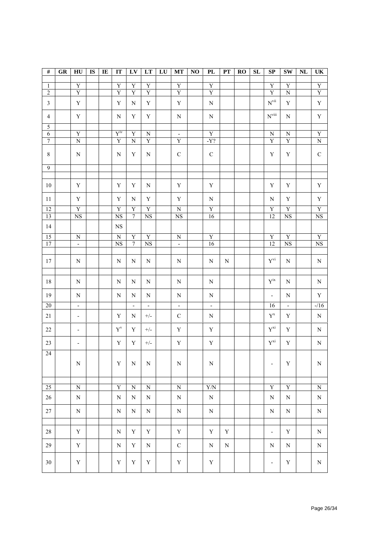| $\#$                | GR | ${\bf H}{\bf U}$         | <b>IS</b> | IE | IT                                                 | LV                                        | LT                                        | ${\bf L}{\bf U}$ | MT                                        | NO | PL                               | PT          | RO | SL | SP                                  | $\textbf{SW}$              | NL | UK                                                 |
|---------------------|----|--------------------------|-----------|----|----------------------------------------------------|-------------------------------------------|-------------------------------------------|------------------|-------------------------------------------|----|----------------------------------|-------------|----|----|-------------------------------------|----------------------------|----|----------------------------------------------------|
|                     |    |                          |           |    |                                                    |                                           |                                           |                  |                                           |    |                                  |             |    |    |                                     |                            |    |                                                    |
| 1<br>$\overline{2}$ |    | $\overline{Y}$<br>Y      |           |    | $\overline{\mathbf{Y}}$<br>$\overline{\mathbf{Y}}$ | $\overline{Y}$<br>$\overline{\mathbf{Y}}$ | $\overline{Y}$<br>$\overline{\mathbf{Y}}$ |                  | $\overline{Y}$<br>$\overline{\mathbf{Y}}$ |    | $\overline{Y}$<br>$\overline{Y}$ |             |    |    | $\overline{Y}$<br>$\overline{Y}$    | Y<br>$\overline{\text{N}}$ |    | $\overline{\mathbf{Y}}$<br>$\overline{\mathbf{Y}}$ |
|                     |    |                          |           |    |                                                    |                                           |                                           |                  |                                           |    |                                  |             |    |    | $\mathbf{N}^{\text{vii}}$           |                            |    |                                                    |
| $\mathfrak{Z}$      |    | $\mathbf Y$              |           |    | $\mathbf Y$                                        | ${\bf N}$                                 | $\mathbf Y$                               |                  | $\mathbf Y$                               |    | ${\bf N}$                        |             |    |    |                                     | $\mathbf Y$                |    | $\mathbf Y$                                        |
| $\overline{4}$      |    | $\mathbf Y$              |           |    | ${\bf N}$                                          | $\mathbf Y$                               | $\mathbf Y$                               |                  | ${\bf N}$                                 |    | ${\bf N}$                        |             |    |    | $\mathbf{N}^{\text{viii}}$          | ${\bf N}$                  |    | $\mathbf Y$                                        |
| $\sqrt{5}$          |    |                          |           |    |                                                    |                                           |                                           |                  |                                           |    |                                  |             |    |    |                                     |                            |    |                                                    |
| 6                   |    | $\mathbf Y$              |           |    | $\mathbf{Y}^{\text{IV}}$                           | $\mathbf Y$                               | ${\bf N}$                                 |                  | $\blacksquare$                            |    | $\overline{\textbf{Y}}$          |             |    |    | $\frac{\overline{N}}{\overline{Y}}$ | ${\rm N}$                  |    | $\overline{\textbf{Y}}$                            |
| $\overline{7}$      |    | $\overline{N}$           |           |    | Y                                                  | $\overline{\text{N}}$                     | $\overline{Y}$                            |                  | $\overline{\mathbf{Y}}$                   |    | $-Y$ ?                           |             |    |    |                                     | $\overline{Y}$             |    | $\overline{\text{N}}$                              |
| $\,8\,$             |    | ${\bf N}$                |           |    | ${\bf N}$                                          | $\mathbf Y$                               | ${\bf N}$                                 |                  | $\mathsf C$                               |    | $\mathbf C$                      |             |    |    | $\mathbf Y$                         | $\mathbf Y$                |    | $\mathsf C$                                        |
| $\overline{9}$      |    |                          |           |    |                                                    |                                           |                                           |                  |                                           |    |                                  |             |    |    |                                     |                            |    |                                                    |
|                     |    |                          |           |    |                                                    |                                           |                                           |                  |                                           |    |                                  |             |    |    |                                     |                            |    |                                                    |
| $10\,$              |    | $\mathbf Y$              |           |    | Y                                                  | Y                                         | N                                         |                  | $\mathbf Y$                               |    | $\mathbf Y$                      |             |    |    | $\mathbf Y$                         | Y                          |    | $\mathbf Y$                                        |
| 11                  |    | $\mathbf Y$              |           |    | Y                                                  | ${\bf N}$                                 | Y                                         |                  | $\mathbf Y$                               |    | ${\bf N}$                        |             |    |    | ${\bf N}$                           | Y                          |    | $\mathbf Y$                                        |
| 12                  |    | Y                        |           |    | $\overline{Y}$                                     | $\overline{\mathbf{Y}}$                   | $\overline{Y}$                            |                  | $\overline{N}$                            |    | $\overline{Y}$                   |             |    |    | $\overline{Y}$                      | $\overline{Y}$             |    | $\overline{\mathbf{Y}}$                            |
| 13                  |    | $\overline{\text{NS}}$   |           |    | <b>NS</b>                                          | $7\phantom{.0}$                           | $\overline{\text{NS}}$                    |                  | NS                                        |    | 16                               |             |    |    | $\overline{12}$                     | $\overline{\text{NS}}$     |    | NS                                                 |
| 14                  |    |                          |           |    | $_{\rm NS}$                                        |                                           |                                           |                  |                                           |    |                                  |             |    |    |                                     |                            |    |                                                    |
| 15                  |    | ${\bf N}$                |           |    | $\overline{\text{N}}$                              | $\overline{Y}$                            | Y                                         |                  | ${\bf N}$                                 |    | $\overline{Y}$                   |             |    |    | Y                                   | $\overline{Y}$             |    | Y                                                  |
| 17                  |    | $\blacksquare$           |           |    | $\overline{\text{NS}}$                             | $\boldsymbol{7}$                          | $\overline{\text{NS}}$                    |                  | $\overline{\phantom{a}}$                  |    | 16                               |             |    |    | $\overline{12}$                     | $\overline{\text{NS}}$     |    | NS                                                 |
|                     |    |                          |           |    |                                                    |                                           |                                           |                  |                                           |    |                                  |             |    |    |                                     |                            |    |                                                    |
| 17                  |    | $\mathbf N$              |           |    | N                                                  | ${\bf N}$                                 | N                                         |                  | $\mathbf N$                               |    | ${\bf N}$                        | N           |    |    | $\mathbf{Y}^{\text{vi}}$            | N                          |    | ${\bf N}$                                          |
|                     |    |                          |           |    |                                                    |                                           |                                           |                  |                                           |    |                                  |             |    |    | $\mathbf{Y}^{\text{ix}}$            |                            |    |                                                    |
| $18\,$              |    | ${\bf N}$                |           |    | ${\bf N}$                                          | ${\bf N}$                                 | ${\bf N}$                                 |                  | ${\bf N}$                                 |    | ${\bf N}$                        |             |    |    |                                     | ${\bf N}$                  |    | ${\bf N}$                                          |
| 19                  |    | N                        |           |    | ${\bf N}$                                          | ${\bf N}$                                 | ${\bf N}$                                 |                  | ${\bf N}$                                 |    | ${\bf N}$                        |             |    |    | $\overline{\phantom{a}}$            | N                          |    | $\mathbf Y$                                        |
| $\overline{20}$     |    | $\overline{\phantom{a}}$ |           |    |                                                    | $\overline{\phantom{a}}$                  | $\overline{\phantom{a}}$                  |                  | $\overline{\phantom{a}}$                  |    | ÷,                               |             |    |    | 16                                  | $\overline{\phantom{a}}$   |    | $-16$                                              |
| 21                  |    | $\overline{\phantom{a}}$ |           |    | $\mathbf Y$                                        | ${\bf N}$                                 | $+/-$                                     |                  | ${\bf C}$                                 |    | ${\bf N}$                        |             |    |    | $\mathbf{Y}^{\text{x}}$             | Y                          |    | ${\bf N}$                                          |
| 22                  |    | $\overline{\phantom{a}}$ |           |    | $\mathbf{Y}^{\text{v}}$                            | $\mathbf Y$                               | $+/-$                                     |                  | $\mathbf Y$                               |    | $\mathbf Y$                      |             |    |    | $Y^{xi}$                            | $\mathbf Y$                |    | ${\bf N}$                                          |
| $23\,$              |    | $\overline{\phantom{a}}$ |           |    | $\mathbf Y$                                        | $\mathbf Y$                               | $+/-$                                     |                  | $\mathbf Y$                               |    | $\mathbf Y$                      |             |    |    | $\mathbf{Y}^{\text{xi}}$            | $\mathbf Y$                |    | ${\bf N}$                                          |
| 24                  |    | ${\bf N}$                |           |    | $\mathbf Y$                                        | N                                         | ${\bf N}$                                 |                  | ${\bf N}$                                 |    | ${\bf N}$                        |             |    |    | $\overline{\phantom{0}}$            | $\mathbf Y$                |    | ${\bf N}$                                          |
|                     |    |                          |           |    |                                                    |                                           |                                           |                  |                                           |    |                                  |             |    |    |                                     |                            |    |                                                    |
| $\overline{25}$     |    | $\overline{N}$           |           |    | $\overline{Y}$                                     | $\overline{N}$                            | $\overline{N}$                            |                  | $\overline{N}$                            |    | Y/N                              |             |    |    | $\overline{Y}$                      | $\overline{Y}$             |    | ${\bf N}$                                          |
| $26\,$              |    | ${\bf N}$                |           |    | ${\bf N}$                                          | ${\bf N}$                                 | ${\bf N}$                                 |                  | ${\bf N}$                                 |    | ${\bf N}$                        |             |    |    | ${\bf N}$                           | N                          |    | ${\bf N}$                                          |
| 27                  |    | ${\bf N}$                |           |    | ${\bf N}$                                          | ${\bf N}$                                 | ${\bf N}$                                 |                  | ${\bf N}$                                 |    | ${\bf N}$                        |             |    |    | ${\bf N}$                           | ${\bf N}$                  |    | ${\bf N}$                                          |
|                     |    |                          |           |    |                                                    |                                           |                                           |                  |                                           |    |                                  |             |    |    |                                     |                            |    |                                                    |
| 28                  |    | $\mathbf Y$              |           |    | ${\bf N}$                                          | $\mathbf Y$                               | $\mathbf Y$                               |                  | $\mathbf Y$                               |    | $\mathbf Y$                      | $\mathbf Y$ |    |    | $\overline{a}$                      | Y                          |    | ${\bf N}$                                          |
| 29                  |    | $\mathbf Y$              |           |    | ${\bf N}$                                          | $\mathbf Y$                               | ${\bf N}$                                 |                  | ${\bf C}$                                 |    | ${\bf N}$                        | ${\bf N}$   |    |    | ${\bf N}$                           | ${\bf N}$                  |    | ${\bf N}$                                          |
| 30                  |    | $\mathbf Y$              |           |    | Y                                                  | $\mathbf Y$                               | $\mathbf Y$                               |                  | $\mathbf Y$                               |    | $\mathbf Y$                      |             |    |    | $\overline{\phantom{a}}$            | $\mathbf Y$                |    | ${\bf N}$                                          |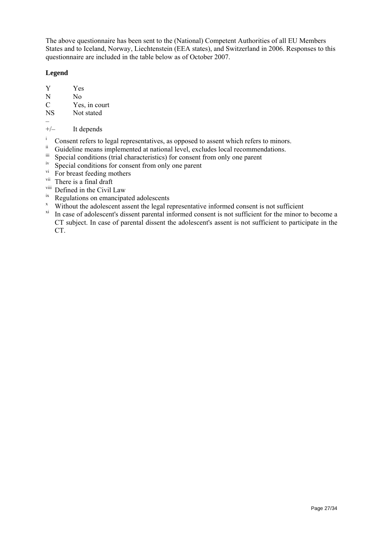The above questionnaire has been sent to the (National) Competent Authorities of all EU Members States and to Iceland, Norway, Liechtenstein (EEA states), and Switzerland in 2006. Responses to this questionnaire are included in the table below as of October 2007.

## **Legend**

- Y Yes N No C Yes, in court NS Not stated
- –

+/– It depends

- i  $\frac{1}{11}$  Consent refers to legal representatives, as opposed to assent which refers to minors.
- $\frac{1}{10}$  Guideline means implemented at national level, excludes local recommendations.
- Special conditions (trial characteristics) for consent from only one parent
- iv Special conditions for consent from only one parent
- $\overrightarrow{v}$  For breast feeding mothers
- <sup>vii</sup> There is a final draft
- viii Defined in the Civil Law
- <sup>ix</sup> Regulations on emancipated adolescents
- <sup>x</sup> Without the adolescent assent the legal representative informed consent is not sufficient
- <sup>xi</sup> In case of adolescent's dissent parental informed consent is not sufficient for the minor to become a CT subject. In case of parental dissent the adolescent's assent is not sufficient to participate in the CT.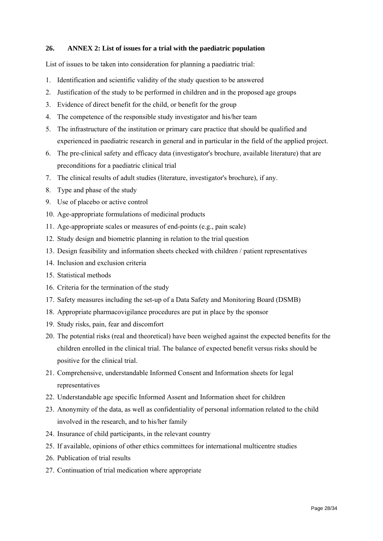### <span id="page-27-0"></span>**26. ANNEX 2: List of issues for a trial with the paediatric population**

List of issues to be taken into consideration for planning a paediatric trial:

- 1. Identification and scientific validity of the study question to be answered
- 2. Justification of the study to be performed in children and in the proposed age groups
- 3. Evidence of direct benefit for the child, or benefit for the group
- 4. The competence of the responsible study investigator and his/her team
- 5. The infrastructure of the institution or primary care practice that should be qualified and experienced in paediatric research in general and in particular in the field of the applied project.
- 6. The pre-clinical safety and efficacy data (investigator's brochure, available literature) that are preconditions for a paediatric clinical trial
- 7. The clinical results of adult studies (literature, investigator's brochure), if any.
- 8. Type and phase of the study
- 9. Use of placebo or active control
- 10. Age-appropriate formulations of medicinal products
- 11. Age-appropriate scales or measures of end-points (e.g., pain scale)
- 12. Study design and biometric planning in relation to the trial question
- 13. Design feasibility and information sheets checked with children / patient representatives
- 14. Inclusion and exclusion criteria
- 15. Statistical methods
- 16. Criteria for the termination of the study
- 17. Safety measures including the set-up of a Data Safety and Monitoring Board (DSMB)
- 18. Appropriate pharmacovigilance procedures are put in place by the sponsor
- 19. Study risks, pain, fear and discomfort
- 20. The potential risks (real and theoretical) have been weighed against the expected benefits for the children enrolled in the clinical trial. The balance of expected benefit versus risks should be positive for the clinical trial.
- 21. Comprehensive, understandable Informed Consent and Information sheets for legal representatives
- 22. Understandable age specific Informed Assent and Information sheet for children
- 23. Anonymity of the data, as well as confidentiality of personal information related to the child involved in the research, and to his/her family
- 24. Insurance of child participants, in the relevant country
- 25. If available, opinions of other ethics committees for international multicentre studies
- 26. Publication of trial results
- 27. Continuation of trial medication where appropriate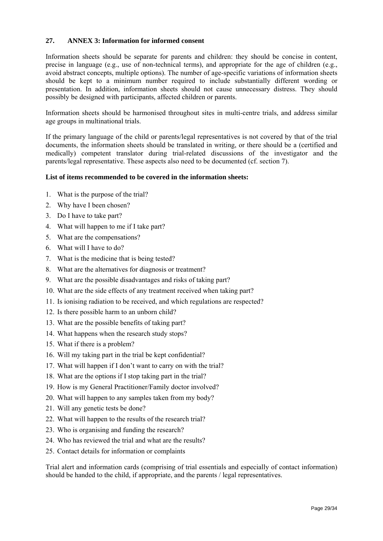## <span id="page-28-0"></span>**27. ANNEX 3: Information for informed consent**

Information sheets should be separate for parents and children: they should be concise in content, precise in language (e.g., use of non-technical terms), and appropriate for the age of children (e.g., avoid abstract concepts, multiple options). The number of age-specific variations of information sheets should be kept to a minimum number required to include substantially different wording or presentation. In addition, information sheets should not cause unnecessary distress. They should possibly be designed with participants, affected children or parents.

Information sheets should be harmonised throughout sites in multi-centre trials, and address similar age groups in multinational trials.

If the primary language of the child or parents/legal representatives is not covered by that of the trial documents, the information sheets should be translated in writing, or there should be a (certified and medically) competent translator during trial-related discussions of the investigator and the parents/legal representative. These aspects also need to be documented (cf. section 7).

### **List of items recommended to be covered in the information sheets:**

- 1. What is the purpose of the trial?
- 2. Why have I been chosen?
- 3. Do I have to take part?
- 4. What will happen to me if I take part?
- 5. What are the compensations?
- 6. What will I have to do?
- 7. What is the medicine that is being tested?
- 8. What are the alternatives for diagnosis or treatment?
- 9. What are the possible disadvantages and risks of taking part?
- 10. What are the side effects of any treatment received when taking part?
- 11. Is ionising radiation to be received, and which regulations are respected?
- 12. Is there possible harm to an unborn child?
- 13. What are the possible benefits of taking part?
- 14. What happens when the research study stops?
- 15. What if there is a problem?
- 16. Will my taking part in the trial be kept confidential?
- 17. What will happen if I don't want to carry on with the trial?
- 18. What are the options if I stop taking part in the trial?
- 19. How is my General Practitioner/Family doctor involved?
- 20. What will happen to any samples taken from my body?
- 21. Will any genetic tests be done?
- 22. What will happen to the results of the research trial?
- 23. Who is organising and funding the research?
- 24. Who has reviewed the trial and what are the results?
- 25. Contact details for information or complaints

Trial alert and information cards (comprising of trial essentials and especially of contact information) should be handed to the child, if appropriate, and the parents / legal representatives.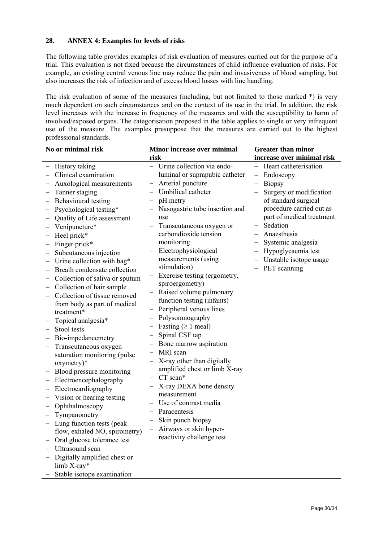## <span id="page-29-0"></span>**28. ANNEX 4: Examples for levels of risks**

The following table provides examples of risk evaluation of measures carried out for the purpose of a trial. This evaluation is not fixed because the circumstances of child influence evaluation of risks. For example, an existing central venous line may reduce the pain and invasiveness of blood sampling, but also increases the risk of infection and of excess blood losses with line handling.

The risk evaluation of some of the measures (including, but not limited to those marked \*) is very much dependent on such circumstances and on the context of its use in the trial. In addition, the risk level increases with the increase in frequency of the measures and with the susceptibility to harm of involved/exposed organs. The categorisation proposed in the table applies to single or very infrequent use of the measure. The examples presuppose that the measures are carried out to the highest professional standards.

| No or minimal risk |                                                              |                   | <b>Minor increase over minimal</b>                    | <b>Greater than minor</b> |                            |  |  |  |  |
|--------------------|--------------------------------------------------------------|-------------------|-------------------------------------------------------|---------------------------|----------------------------|--|--|--|--|
|                    |                                                              | risk              |                                                       |                           | increase over minimal risk |  |  |  |  |
|                    | History taking                                               |                   | Urine collection via endo-                            |                           | Heart catheterisation      |  |  |  |  |
|                    | Clinical examination                                         |                   | luminal or suprapubic catheter                        | $\qquad \qquad -$         | Endoscopy                  |  |  |  |  |
|                    | Auxological measurements                                     |                   | Arterial puncture                                     |                           | <b>Biopsy</b>              |  |  |  |  |
|                    | Tanner staging                                               |                   | Umbilical catheter                                    |                           | Surgery or modification    |  |  |  |  |
|                    | Behavioural testing                                          | $\qquad \qquad -$ | pH metry                                              |                           | of standard surgical       |  |  |  |  |
|                    | Psychological testing*                                       |                   | Nasogastric tube insertion and                        |                           | procedure carried out as   |  |  |  |  |
|                    | Quality of Life assessment                                   |                   | use                                                   |                           | part of medical treatment  |  |  |  |  |
|                    | Venipuncture*                                                |                   | Transcutaneous oxygen or                              | $\qquad \qquad -$         | Sedation                   |  |  |  |  |
|                    | Heel prick*                                                  |                   | carbondioxide tension                                 |                           | Anaesthesia                |  |  |  |  |
|                    | Finger prick*                                                |                   | monitoring                                            |                           | Systemic analgesia         |  |  |  |  |
|                    | Subcutaneous injection                                       |                   | Electrophysiological                                  |                           | Hypoglycaemia test         |  |  |  |  |
|                    | Urine collection with bag*                                   |                   | measurements (using                                   |                           | Unstable isotope usage     |  |  |  |  |
|                    | Breath condensate collection                                 |                   | stimulation)                                          |                           | - PET scanning             |  |  |  |  |
|                    | Collection of saliva or sputum                               |                   | Exercise testing (ergometry,                          |                           |                            |  |  |  |  |
|                    | Collection of hair sample                                    |                   | spiroergometry)                                       |                           |                            |  |  |  |  |
|                    | Collection of tissue removed                                 |                   | Raised volume pulmonary<br>function testing (infants) |                           |                            |  |  |  |  |
|                    | from body as part of medical                                 |                   | Peripheral venous lines                               |                           |                            |  |  |  |  |
|                    | treatment*                                                   |                   | Polysomnography                                       |                           |                            |  |  |  |  |
|                    | Topical analgesia*                                           |                   | Fasting ( $\geq 1$ meal)                              |                           |                            |  |  |  |  |
|                    | Stool tests                                                  |                   | Spinal CSF tap                                        |                           |                            |  |  |  |  |
|                    | Bio-impedancemetry                                           |                   | Bone marrow aspiration                                |                           |                            |  |  |  |  |
|                    | Transcutaneous oxygen                                        |                   | MRI scan                                              |                           |                            |  |  |  |  |
|                    | saturation monitoring (pulse                                 |                   | X-ray other than digitally                            |                           |                            |  |  |  |  |
|                    | $oxymetry)*$                                                 |                   | amplified chest or limb X-ray                         |                           |                            |  |  |  |  |
|                    | Blood pressure monitoring                                    |                   | CT scan*                                              |                           |                            |  |  |  |  |
|                    | Electroencephalography                                       |                   | X-ray DEXA bone density                               |                           |                            |  |  |  |  |
|                    | Electrocardiography                                          |                   | measurement                                           |                           |                            |  |  |  |  |
|                    | Vision or hearing testing                                    |                   | Use of contrast media                                 |                           |                            |  |  |  |  |
|                    | Ophthalmoscopy                                               |                   | Paracentesis                                          |                           |                            |  |  |  |  |
|                    | Tympanometry                                                 |                   | Skin punch biopsy                                     |                           |                            |  |  |  |  |
|                    | Lung function tests (peak                                    |                   | Airways or skin hyper-                                |                           |                            |  |  |  |  |
|                    | flow, exhaled NO, spirometry)<br>Oral glucose tolerance test |                   | reactivity challenge test                             |                           |                            |  |  |  |  |
|                    | Ultrasound scan                                              |                   |                                                       |                           |                            |  |  |  |  |
|                    | Digitally amplified chest or                                 |                   |                                                       |                           |                            |  |  |  |  |
| —                  | limb X-ray*                                                  |                   |                                                       |                           |                            |  |  |  |  |
|                    | Stable isotope examination                                   |                   |                                                       |                           |                            |  |  |  |  |
|                    |                                                              |                   |                                                       |                           |                            |  |  |  |  |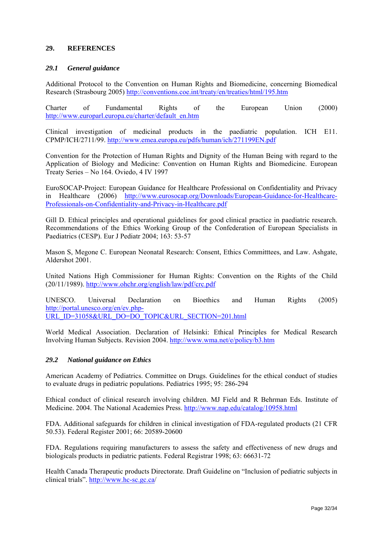## <span id="page-31-0"></span>**29. REFERENCES**

### <span id="page-31-1"></span>*29.1 General guidance*

Additional Protocol to the Convention on Human Rights and Biomedicine, concerning Biomedical Research (Strasbourg 2005[\) http://conventions.coe.int/treaty/en/treaties/html/195.htm](http://conventions.coe.int/treaty/en/treaties/html/195.htm) 

Charter of Fundamental Rights of the European Union (2000) [http://www.europarl.europa.eu/charter/default\\_en.htm](http://www.europarl.europa.eu/charter/default_en.htm) 

Clinical investigation of medicinal products in the paediatric population. ICH E11. CPMP/ICH/2711/99[. http://www.emea.europa.eu/pdfs/human/ich/271199EN.pdf](http://www.emea.europa.eu/pdfs/human/ich/271199EN.pdf) 

Convention for the Protection of Human Rights and Dignity of the Human Being with regard to the Application of Biology and Medicine: Convention on Human Rights and Biomedicine. European Treaty Series – No 164. Oviedo, 4 IV 1997

EuroSOCAP-Project: European Guidance for Healthcare Professional on Confidentiality and Privacy in Healthcare (2006) [http://www.eurosocap.org/Downloads/European-Guidance-for-Healthcare-](http://www.eurosocap.org/Downloads/European-Guidance-for-Healthcare-Professionals-on-Confidentiality-and-Privacy-in-Healthcare.pdf)[Professionals-on-Confidentiality-and-Privacy-in-Healthcare.pdf](http://www.eurosocap.org/Downloads/European-Guidance-for-Healthcare-Professionals-on-Confidentiality-and-Privacy-in-Healthcare.pdf) 

Gill D. Ethical principles and operational guidelines for good clinical practice in paediatric research. Recommendations of the Ethics Working Group of the Confederation of European Specialists in Paediatrics (CESP). Eur J Pediatr 2004; 163: 53-57

Mason S, Megone C. European Neonatal Research: Consent, Ethics Committtees, and Law. Ashgate, Aldershot 2001.

United Nations High Commissioner for Human Rights: Convention on the Rights of the Child (20/11/1989)[. http://www.ohchr.org/english/law/pdf/crc.pdf](http://www.ohchr.org/english/law/pdf/crc.pdf) 

UNESCO. Universal Declaration on Bioethics and Human Rights (2005) [http://portal.unesco.org/en/ev.php-](http://portal.unesco.org/en/ev.php-URL_ID=31058&URL_DO=DO_TOPIC&URL_SECTION=201.html)[URL\\_ID=31058&URL\\_DO=DO\\_TOPIC&URL\\_SECTION=201.html](http://portal.unesco.org/en/ev.php-URL_ID=31058&URL_DO=DO_TOPIC&URL_SECTION=201.html) 

World Medical Association. Declaration of Helsinki: Ethical Principles for Medical Research Involving Human Subjects. Revision 2004[. http://www.wma.net/e/policy/b3.htm](http://www.wma.net/e/policy/b3.htm) 

### <span id="page-31-2"></span>*29.2 National guidance on Ethics*

American Academy of Pediatrics. Committee on Drugs. Guidelines for the ethical conduct of studies to evaluate drugs in pediatric populations. Pediatrics 1995; 95: 286-294

Ethical conduct of clinical research involving children. MJ Field and R Behrman Eds. Institute of Medicine. 2004. The National Academies Press.<http://www.nap.edu/catalog/10958.html>

FDA. Additional safeguards for children in clinical investigation of FDA-regulated products (21 CFR 50.53). Federal Register 2001; 66: 20589-20600

FDA. Regulations requiring manufacturers to assess the safety and effectiveness of new drugs and biologicals products in pediatric patients. Federal Registrar 1998; 63: 66631-72

Health Canada Therapeutic products Directorate. Draft Guideline on "Inclusion of pediatric subjects in clinical trials".<http://www.hc-sc.gc.ca/>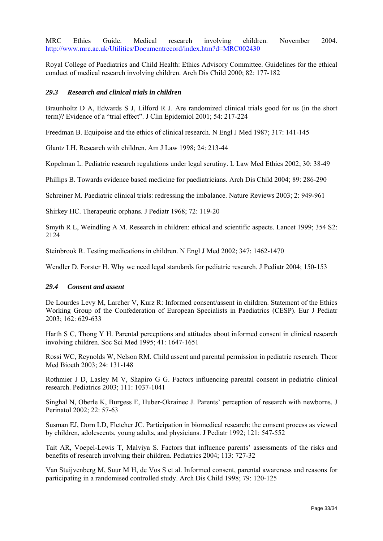MRC Ethics Guide. Medical research involving children. November 2004. <http://www.mrc.ac.uk/Utilities/Documentrecord/index.htm?d=MRC002430>

Royal College of Paediatrics and Child Health: Ethics Advisory Committee. Guidelines for the ethical conduct of medical research involving children. Arch Dis Child 2000; 82: 177-182

### <span id="page-32-0"></span>*29.3 Research and clinical trials in children*

Braunholtz D A, Edwards S J, Lilford R J. Are randomized clinical trials good for us (in the short term)? Evidence of a "trial effect". J Clin Epidemiol 2001; 54: 217-224

Freedman B. Equipoise and the ethics of clinical research. N Engl J Med 1987; 317: 141-145

Glantz LH. Research with children. Am J Law 1998; 24: 213-44

Kopelman L. Pediatric research regulations under legal scrutiny. L Law Med Ethics 2002; 30: 38-49

Phillips B. Towards evidence based medicine for paediatricians. Arch Dis Child 2004; 89: 286-290

Schreiner M. Paediatric clinical trials: redressing the imbalance. Nature Reviews 2003; 2: 949-961

Shirkey HC. Therapeutic orphans. J Pediatr 1968; 72: 119-20

Smyth R L, Weindling A M. Research in children: ethical and scientific aspects. Lancet 1999; 354 S2: 2124

Steinbrook R. Testing medications in children. N Engl J Med 2002; 347: 1462-1470

Wendler D. Forster H. Why we need legal standards for pediatric research. J Pediatr 2004; 150-153

### <span id="page-32-1"></span>*29.4 Consent and assent*

De Lourdes Levy M, Larcher V, Kurz R: Informed consent/assent in children. Statement of the Ethics Working Group of the Confederation of European Specialists in Paediatrics (CESP). Eur J Pediatr 2003; 162: 629-633

Harth S C, Thong Y H. Parental perceptions and attitudes about informed consent in clinical research involving children. Soc Sci Med 1995; 41: 1647-1651

Rossi WC, Reynolds W, Nelson RM. Child assent and parental permission in pediatric research. Theor Med Bioeth 2003; 24: 131-148

Rothmier J D, Lasley M V, Shapiro G G. Factors influencing parental consent in pediatric clinical research. Pediatrics 2003; 111: 1037-1041

Singhal N, Oberle K, Burgess E, Huber-Okrainec J. Parents' perception of research with newborns. J Perinatol 2002; 22: 57-63

Susman EJ, Dorn LD, Fletcher JC. Participation in biomedical research: the consent process as viewed by children, adolescents, young adults, and physicians. J Pediatr 1992; 121: 547-552

Tait AR, Voepel-Lewis T, Malviya S. Factors that influence parents' assessments of the risks and benefits of research involving their children. Pediatrics 2004; 113: 727-32

Van Stuijvenberg M, Suur M H, de Vos S et al. Informed consent, parental awareness and reasons for participating in a randomised controlled study. Arch Dis Child 1998; 79: 120-125